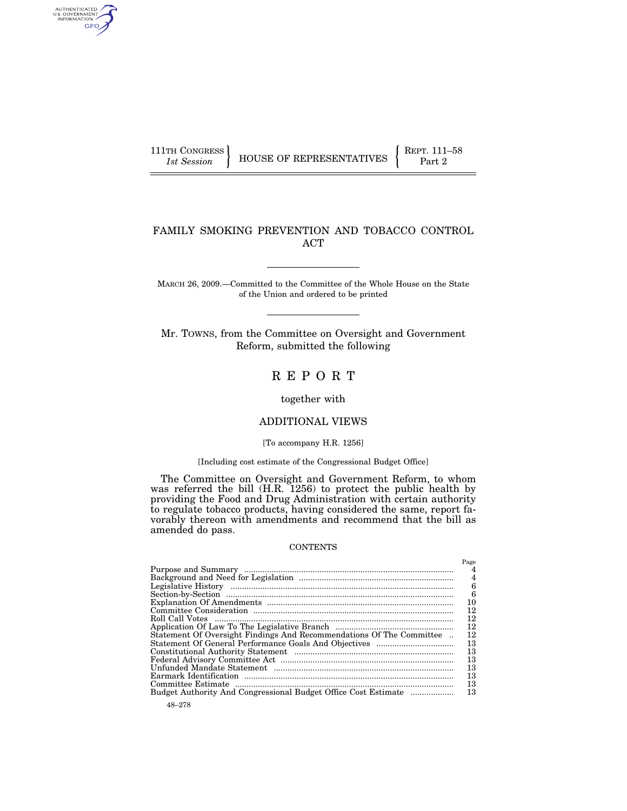AUTHENTICATED<br>U.S. GOVERNMENT<br>INFORMATION GPO

# FAMILY SMOKING PREVENTION AND TOBACCO CONTROL ACT

MARCH 26, 2009.—Committed to the Committee of the Whole House on the State of the Union and ordered to be printed

Mr. TOWNS, from the Committee on Oversight and Government Reform, submitted the following

# R E P O R T

together with

# ADDITIONAL VIEWS

#### [To accompany H.R. 1256]

#### [Including cost estimate of the Congressional Budget Office]

The Committee on Oversight and Government Reform, to whom was referred the bill (H.R. 1256) to protect the public health by providing the Food and Drug Administration with certain authority to regulate tobacco products, having considered the same, report favorably thereon with amendments and recommend that the bill as amended do pass.

#### **CONTENTS**

|                                                                      | Page |
|----------------------------------------------------------------------|------|
|                                                                      |      |
|                                                                      | 4    |
|                                                                      | 6    |
|                                                                      | 6    |
|                                                                      | 10   |
|                                                                      | 12   |
| Roll Call Votes                                                      | 12   |
|                                                                      | 12   |
| Statement Of Oversight Findings And Recommendations Of The Committee | 12   |
|                                                                      | 13   |
|                                                                      | 13   |
|                                                                      | 13   |
|                                                                      | 13   |
|                                                                      | 13   |
|                                                                      | 13   |
|                                                                      | 13   |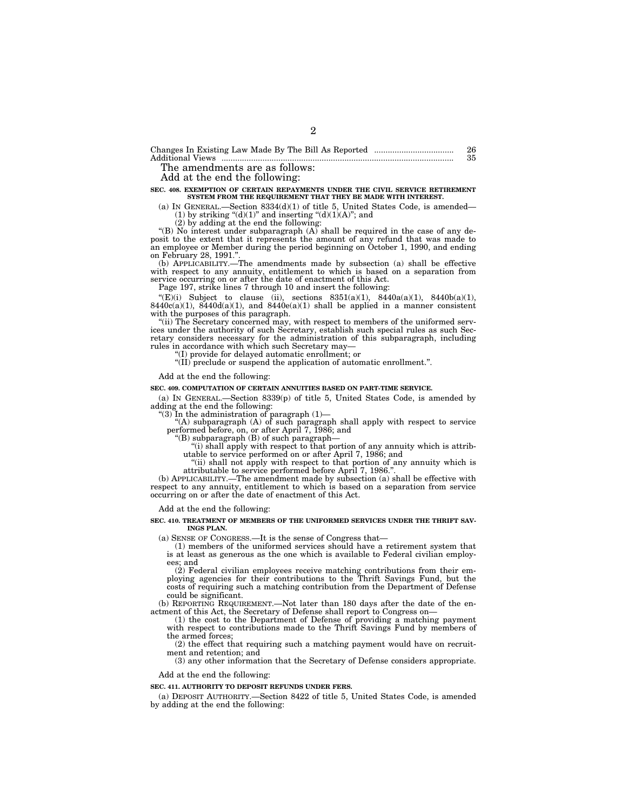The amendments are as follows:

Add at the end the following:

#### **SEC. 408. EXEMPTION OF CERTAIN REPAYMENTS UNDER THE CIVIL SERVICE RETIREMENT SYSTEM FROM THE REQUIREMENT THAT THEY BE MADE WITH INTEREST.**

(a) IN GENERAL.—Section  $8334(d)(1)$  of title 5, United States Code, is amended— (1) by striking "(d)(1)" and inserting "(d)(1)(A)"; and

(2) by adding at the end the following:

"(B) No interest under subparagraph  $(A)$  shall be required in the case of any deposit to the extent that it represents the amount of any refund that was made to an employee or Member during the period beginning on October 1, 1990, and ending on February 28, 1991.''. (b) APPLICABILITY.—The amendments made by subsection (a) shall be effective

with respect to any annuity, entitlement to which is based on a separation from service occurring on or after the date of enactment of this Act.

Page 197, strike lines 7 through 10 and insert the following:

"(E)(i) Subject to clause (ii), sections  $8351(a)(1)$ ,  $8440a(a)(1)$ ,  $8440b(a)(1)$ ,  $8440c(a)(1)$ ,  $8440d(a)(1)$ , and  $8440e(a)(1)$  shall be applied in a manner consistent with the purposes of this paragraph.

"(ii) The Secretary concerned may, with respect to members of the uniformed services under the authority of such Secretary, establish such special rules as such Sec-retary considers necessary for the administration of this subparagraph, including rules in accordance with which such Secretary may—

''(I) provide for delayed automatic enrollment; or ''(II) preclude or suspend the application of automatic enrollment.''.

Add at the end the following:

#### **SEC. 409. COMPUTATION OF CERTAIN ANNUITIES BASED ON PART-TIME SERVICE.**

(a) IN GENERAL.—Section 8339(p) of title 5, United States Code, is amended by adding at the end the following:

''(3) In the administration of paragraph (1)— ''(A) subparagraph (A) of such paragraph shall apply with respect to service performed before, on, or after April 7, 1986; and ''(B) subparagraph (B) of such paragraph—

''(i) shall apply with respect to that portion of any annuity which is attributable to service performed on or after April 7, 1986; and

"(ii) shall not apply with respect to that portion of any annuity which is

attributable to service performed before April 7, 1986.''. (b) APPLICABILITY.—The amendment made by subsection (a) shall be effective with respect to any annuity, entitlement to which is based on a separation from service occurring on or after the date of enactment of this Act.

Add at the end the following:

**SEC. 410. TREATMENT OF MEMBERS OF THE UNIFORMED SERVICES UNDER THE THRIFT SAV-INGS PLAN.** 

(a) SENSE OF CONGRESS.—It is the sense of Congress that—

(1) members of the uniformed services should have a retirement system that is at least as generous as the one which is available to Federal civilian employees; and

(2) Federal civilian employees receive matching contributions from their employing agencies for their contributions to the Thrift Savings Fund, but the costs of requiring such a matching contribution from the Department of Defense could be significant.

(b) REPORTING REQUIREMENT.—Not later than 180 days after the date of the enactment of this Act, the Secretary of Defense shall report to Congress on—

(1) the cost to the Department of Defense of providing a matching payment with respect to contributions made to the Thrift Savings Fund by members of the armed forces;

(2) the effect that requiring such a matching payment would have on recruitment and retention; and

(3) any other information that the Secretary of Defense considers appropriate.

Add at the end the following:

#### **SEC. 411. AUTHORITY TO DEPOSIT REFUNDS UNDER FERS.**

(a) DEPOSIT AUTHORITY.—Section 8422 of title 5, United States Code, is amended by adding at the end the following: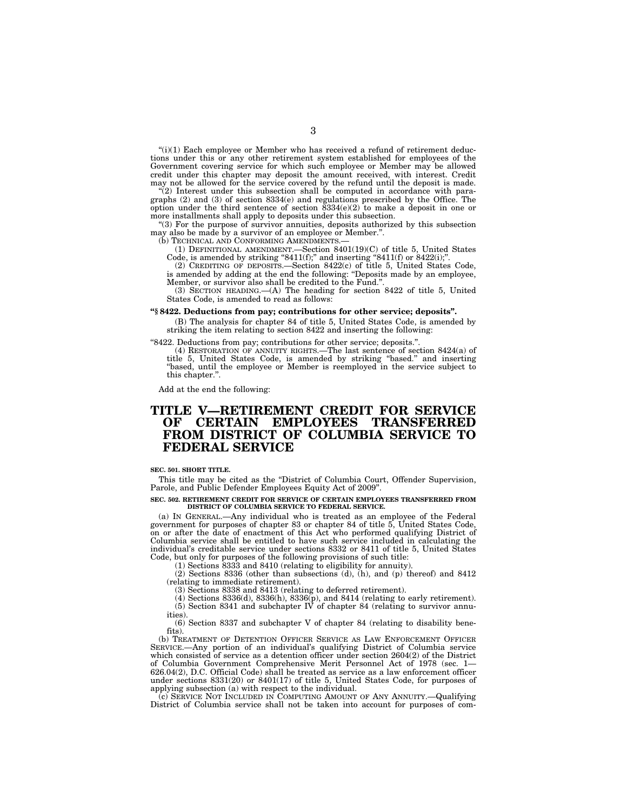" $(i)(1)$  Each employee or Member who has received a refund of retirement deductions under this or any other retirement system established for employees of the Government covering service for which such employee or Member may be allowed credit under this chapter may deposit the amount received, with interest. Credit may not be allowed for the service covered by the refund until the deposit is made.

 $\mathcal{L}(2)$  Interest under this subsection shall be computed in accordance with paragraphs (2) and (3) of section 8334(e) and regulations prescribed by the Office. The option under the third sentence of section  $8334(e)(2)$  to make a deposit in one or more installments shall apply to deposits under this subsection.

''(3) For the purpose of survivor annuities, deposits authorized by this subsection may also be made by a survivor of an employee or Member.''.

(b) TECHNICAL AND CONFORMING AMENDMENTS.

(1) DEFINITIONAL AMENDMENT.—Section 8401(19)(C) of title 5, United States Code, is amended by striking "8411(f);" and inserting "8411(f) or 8422(i);"

(2) CREDITING OF DEPOSITS.—Section 8422(c) of title 5, United States Code, is amended by adding at the end the following: ''Deposits made by an employee, Member, or survivor also shall be credited to the Fund.''.

(3) SECTION HEADING.—(A) The heading for section 8422 of title 5, United States Code, is amended to read as follows:

#### **''§ 8422. Deductions from pay; contributions for other service; deposits''.**

(B) The analysis for chapter 84 of title 5, United States Code, is amended by striking the item relating to section 8422 and inserting the following:

''8422. Deductions from pay; contributions for other service; deposits.''.

(4) RESTORATION OF ANNUITY RIGHTS.—The last sentence of section 8424(a) of title 5, United States Code, is amended by striking ''based.'' and inserting ''based, until the employee or Member is reemployed in the service subject to this chapter.''.

Add at the end the following:

# **TITLE V—RETIREMENT CREDIT FOR SERVICE OF CERTAIN EMPLOYEES FROM DISTRICT OF COLUMBIA SERVICE TO FEDERAL SERVICE**

#### **SEC. 501. SHORT TITLE.**

This title may be cited as the ''District of Columbia Court, Offender Supervision, Parole, and Public Defender Employees Equity Act of 2009''.

#### **SEC. 502. RETIREMENT CREDIT FOR SERVICE OF CERTAIN EMPLOYEES TRANSFERRED FROM DISTRICT OF COLUMBIA SERVICE TO FEDERAL SERVICE.**

(a) IN GENERAL.—Any individual who is treated as an employee of the Federal government for purposes of chapter 83 or chapter 84 of title 5, United States Code, on or after the date of enactment of this Act who performed qualifying District of Columbia service shall be entitled to have such service included in calculating the individual's creditable service under sections 8332 or 8411 of title 5, United States Code, but only for purposes of the following provisions of such title:

(1) Sections 8333 and 8410 (relating to eligibility for annuity).

(2) Sections 8336 (other than subsections (d), (h), and (p) thereof) and 8412 (relating to immediate retirement).

(3) Sections 8338 and 8413 (relating to deferred retirement).

(4) Sections 8336(d), 8336(h), 8336(p), and 8414 (relating to early retirement). (5) Section 8341 and subchapter  $\overline{IV}$  of chapter 84 (relating to survivor annuities).

(6) Section 8337 and subchapter V of chapter 84 (relating to disability benefits).

(b) TREATMENT OF DETENTION OFFICER SERVICE AS LAW ENFORCEMENT OFFICER SERVICE.—Any portion of an individual's qualifying District of Columbia service which consisted of service as a detention officer under section 2604(2) of the District of Columbia Government Comprehensive Merit Personnel Act of 1978 (sec. 1— 626.04(2), D.C. Official Code) shall be treated as service as a law enforcement officer under sections 8331(20) or 8401(17) of title 5, United States Code, for purposes of applying subsection (a) with respect to the individual.

(c) SERVICE NOT INCLUDED IN COMPUTING AMOUNT OF ANY ANNUITY.—Qualifying District of Columbia service shall not be taken into account for purposes of com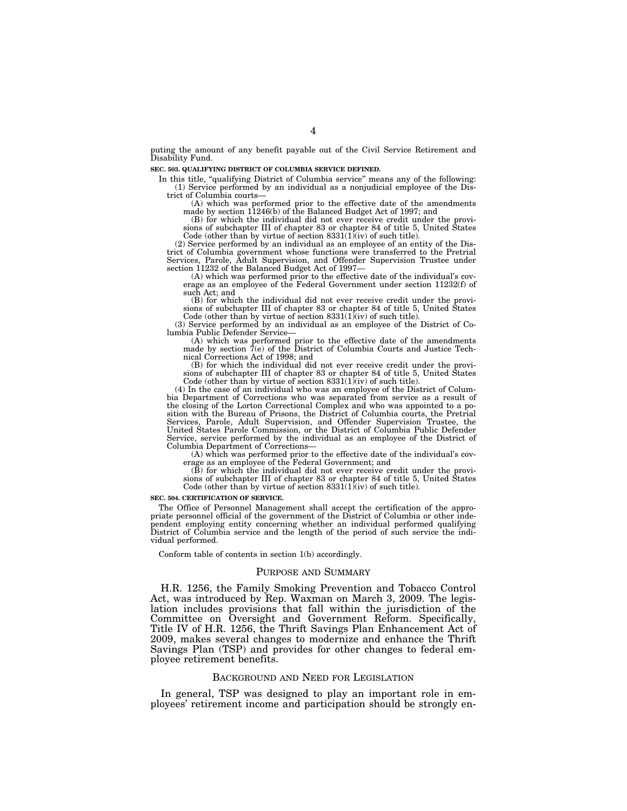puting the amount of any benefit payable out of the Civil Service Retirement and Disability Fund.

**SEC. 503. QUALIFYING DISTRICT OF COLUMBIA SERVICE DEFINED.** 

In this title, "qualifying District of Columbia service" means any of the following: (1) Service performed by an individual as a nonjudicial employee of the District of Columbia courts—

(A) which was performed prior to the effective date of the amendments made by section 11246(b) of the Balanced Budget Act of 1997; and (B) for which the individual did not ever receive credit under the provi-

sions of subchapter III of chapter 83 or chapter 84 of title 5, United States Code (other than by virtue of section 8331(1)(iv) of such title).

(2) Service performed by an individual as an employee of an entity of the District of Columbia government whose functions were transferred to the Pretrial Services, Parole, Adult Supervision, and Offender Supervision Trustee under section 11232 of the Balanced Budget Act of 1997—

(A) which was performed prior to the effective date of the individual's coverage as an employee of the Federal Government under section 11232(f) of such Act; and

(B) for which the individual did not ever receive credit under the provisions of subchapter III of chapter 83 or chapter 84 of title 5, United States Code (other than by virtue of section  $8331(1)(iv)$  of such title).

(3) Service performed by an individual as an employee of the District of Co-lumbia Public Defender Service—

(A) which was performed prior to the effective date of the amendments made by section 7(e) of the District of Columbia Courts and Justice Technical Corrections Act of 1998; and

(B) for which the individual did not ever receive credit under the provisions of subchapter III of chapter 83 or chapter 84 of title 5, United States Code (other than by virtue of section  $8331(1)(iv)$  of such title).

(4) In the case of an individual who was an employee of the District of Columbia Department of Corrections who was separated from service as a result of the closing of the Lorton Correctional Complex and who was appointed to a po-sition with the Bureau of Prisons, the District of Columbia courts, the Pretrial Services, Parole, Adult Supervision, and Offender Supervision Trustee, the United States Parole Commission, or the District of Columbia Public Defender Service, service performed by the individual as an employee of the District of Columbia Department of Corrections—

(A) which was performed prior to the effective date of the individual's coverage as an employee of the Federal Government; and

(B) for which the individual did not ever receive credit under the provisions of subchapter III of chapter 83 or chapter 84 of title 5, United States Code (other than by virtue of section  $8331(1)(iv)$  of such title).

#### **SEC. 504. CERTIFICATION OF SERVICE.**

The Office of Personnel Management shall accept the certification of the appropriate personnel official of the government of the District of Columbia or other independent employing entity concerning whether an individual performed qualifying District of Columbia service and the length of the period of such service the individual performed.

Conform table of contents in section 1(b) accordingly.

#### PURPOSE AND SUMMARY

H.R. 1256, the Family Smoking Prevention and Tobacco Control Act, was introduced by Rep. Waxman on March 3, 2009. The legislation includes provisions that fall within the jurisdiction of the Committee on Oversight and Government Reform. Specifically, Title IV of H.R. 1256, the Thrift Savings Plan Enhancement Act of 2009, makes several changes to modernize and enhance the Thrift Savings Plan (TSP) and provides for other changes to federal employee retirement benefits.

#### BACKGROUND AND NEED FOR LEGISLATION

In general, TSP was designed to play an important role in employees' retirement income and participation should be strongly en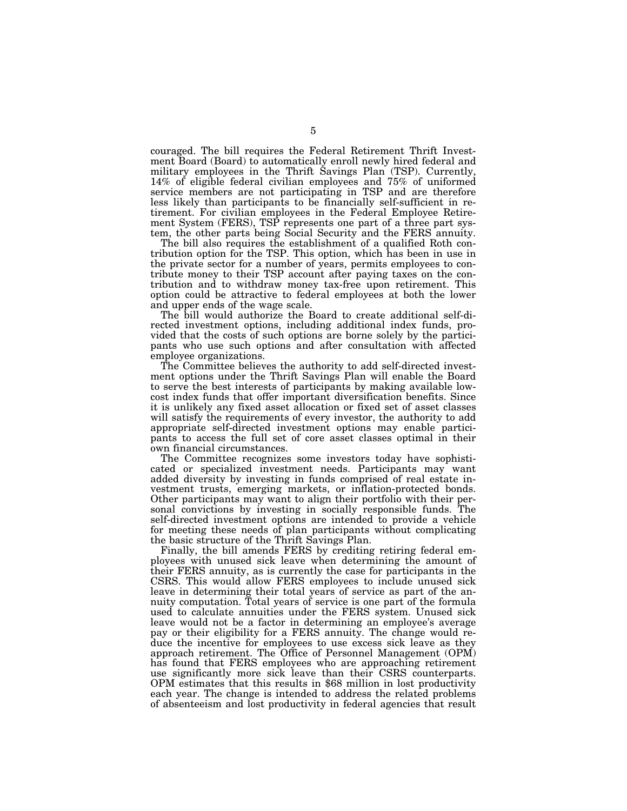couraged. The bill requires the Federal Retirement Thrift Investment Board (Board) to automatically enroll newly hired federal and military employees in the Thrift Savings Plan (TSP). Currently, 14% of eligible federal civilian employees and 75% of uniformed service members are not participating in TSP and are therefore less likely than participants to be financially self-sufficient in retirement. For civilian employees in the Federal Employee Retirement System (FERS), TSP represents one part of a three part system, the other parts being Social Security and the FERS annuity.

The bill also requires the establishment of a qualified Roth contribution option for the TSP. This option, which has been in use in the private sector for a number of years, permits employees to contribute money to their TSP account after paying taxes on the contribution and to withdraw money tax-free upon retirement. This option could be attractive to federal employees at both the lower and upper ends of the wage scale.

The bill would authorize the Board to create additional self-directed investment options, including additional index funds, provided that the costs of such options are borne solely by the participants who use such options and after consultation with affected employee organizations.

The Committee believes the authority to add self-directed investment options under the Thrift Savings Plan will enable the Board to serve the best interests of participants by making available lowcost index funds that offer important diversification benefits. Since it is unlikely any fixed asset allocation or fixed set of asset classes will satisfy the requirements of every investor, the authority to add appropriate self-directed investment options may enable participants to access the full set of core asset classes optimal in their own financial circumstances.

The Committee recognizes some investors today have sophisticated or specialized investment needs. Participants may want added diversity by investing in funds comprised of real estate investment trusts, emerging markets, or inflation-protected bonds. Other participants may want to align their portfolio with their personal convictions by investing in socially responsible funds. The self-directed investment options are intended to provide a vehicle for meeting these needs of plan participants without complicating the basic structure of the Thrift Savings Plan.

Finally, the bill amends FERS by crediting retiring federal employees with unused sick leave when determining the amount of their FERS annuity, as is currently the case for participants in the CSRS. This would allow FERS employees to include unused sick leave in determining their total years of service as part of the annuity computation. Total years of service is one part of the formula used to calculate annuities under the FERS system. Unused sick leave would not be a factor in determining an employee's average pay or their eligibility for a FERS annuity. The change would reduce the incentive for employees to use excess sick leave as they approach retirement. The Office of Personnel Management (OPM) has found that FERS employees who are approaching retirement use significantly more sick leave than their CSRS counterparts. OPM estimates that this results in \$68 million in lost productivity each year. The change is intended to address the related problems of absenteeism and lost productivity in federal agencies that result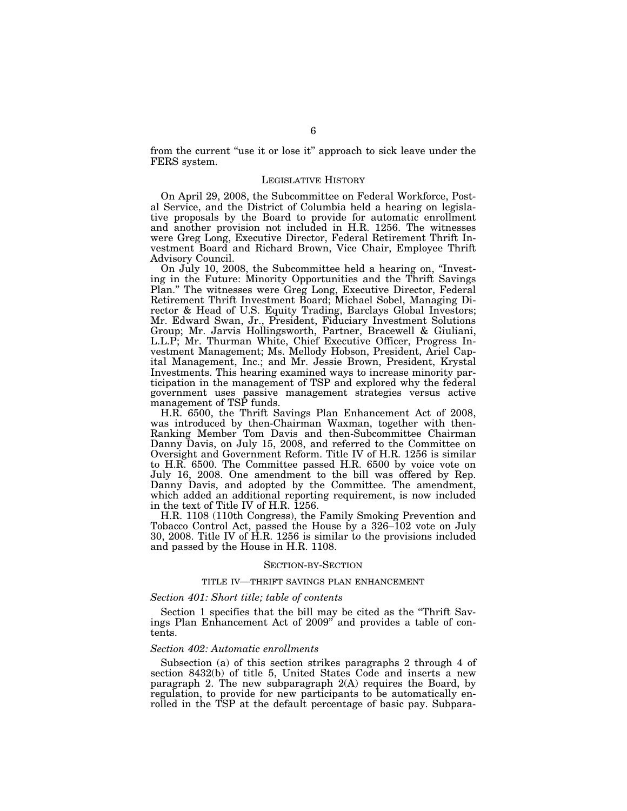from the current ''use it or lose it'' approach to sick leave under the FERS system.

#### LEGISLATIVE HISTORY

On April 29, 2008, the Subcommittee on Federal Workforce, Postal Service, and the District of Columbia held a hearing on legislative proposals by the Board to provide for automatic enrollment and another provision not included in H.R. 1256. The witnesses were Greg Long, Executive Director, Federal Retirement Thrift Investment Board and Richard Brown, Vice Chair, Employee Thrift Advisory Council.

On July 10, 2008, the Subcommittee held a hearing on, ''Investing in the Future: Minority Opportunities and the Thrift Savings Plan.'' The witnesses were Greg Long, Executive Director, Federal Retirement Thrift Investment Board; Michael Sobel, Managing Director & Head of U.S. Equity Trading, Barclays Global Investors; Mr. Edward Swan, Jr., President, Fiduciary Investment Solutions Group; Mr. Jarvis Hollingsworth, Partner, Bracewell & Giuliani, L.L.P; Mr. Thurman White, Chief Executive Officer, Progress Investment Management; Ms. Mellody Hobson, President, Ariel Capital Management, Inc.; and Mr. Jessie Brown, President, Krystal Investments. This hearing examined ways to increase minority participation in the management of TSP and explored why the federal government uses passive management strategies versus active management of TSP funds.

H.R. 6500, the Thrift Savings Plan Enhancement Act of 2008, was introduced by then-Chairman Waxman, together with then-Ranking Member Tom Davis and then-Subcommittee Chairman Danny Davis, on July 15, 2008, and referred to the Committee on Oversight and Government Reform. Title IV of H.R. 1256 is similar to H.R. 6500. The Committee passed H.R. 6500 by voice vote on July 16, 2008. One amendment to the bill was offered by Rep. Danny Davis, and adopted by the Committee. The amendment, which added an additional reporting requirement, is now included in the text of Title IV of H.R. 1256.

H.R. 1108 (110th Congress), the Family Smoking Prevention and Tobacco Control Act, passed the House by a 326–102 vote on July 30, 2008. Title IV of H.R. 1256 is similar to the provisions included and passed by the House in H.R. 1108.

#### SECTION-BY-SECTION

### TITLE IV—THRIFT SAVINGS PLAN ENHANCEMENT

#### *Section 401: Short title; table of contents*

Section 1 specifies that the bill may be cited as the ''Thrift Savings Plan Enhancement Act of 2009'' and provides a table of contents.

#### *Section 402: Automatic enrollments*

Subsection (a) of this section strikes paragraphs 2 through 4 of section 8432(b) of title 5, United States Code and inserts a new paragraph 2. The new subparagraph 2(A) requires the Board, by regulation, to provide for new participants to be automatically enrolled in the TSP at the default percentage of basic pay. Subpara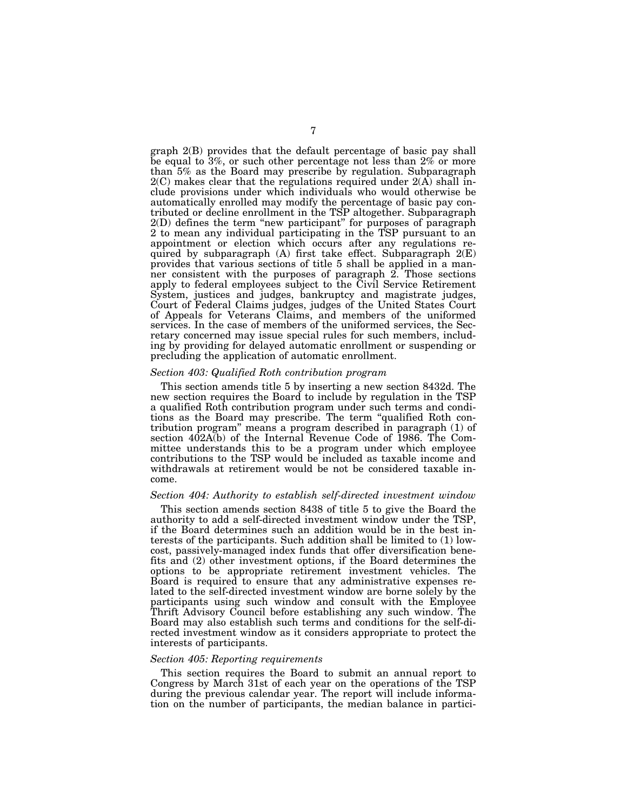graph 2(B) provides that the default percentage of basic pay shall be equal to 3%, or such other percentage not less than 2% or more than 5% as the Board may prescribe by regulation. Subparagraph  $2(C)$  makes clear that the regulations required under  $2(A)$  shall include provisions under which individuals who would otherwise be automatically enrolled may modify the percentage of basic pay contributed or decline enrollment in the TSP altogether. Subparagraph 2(D) defines the term ''new participant'' for purposes of paragraph 2 to mean any individual participating in the TSP pursuant to an appointment or election which occurs after any regulations required by subparagraph (A) first take effect. Subparagraph 2(E) provides that various sections of title 5 shall be applied in a manner consistent with the purposes of paragraph 2. Those sections apply to federal employees subject to the Civil Service Retirement System, justices and judges, bankruptcy and magistrate judges, Court of Federal Claims judges, judges of the United States Court of Appeals for Veterans Claims, and members of the uniformed services. In the case of members of the uniformed services, the Secretary concerned may issue special rules for such members, including by providing for delayed automatic enrollment or suspending or precluding the application of automatic enrollment.

#### *Section 403: Qualified Roth contribution program*

This section amends title 5 by inserting a new section 8432d. The new section requires the Board to include by regulation in the TSP a qualified Roth contribution program under such terms and conditions as the Board may prescribe. The term ''qualified Roth contribution program'' means a program described in paragraph (1) of section 402A(b) of the Internal Revenue Code of 1986. The Committee understands this to be a program under which employee contributions to the TSP would be included as taxable income and withdrawals at retirement would be not be considered taxable income.

#### *Section 404: Authority to establish self-directed investment window*

This section amends section 8438 of title 5 to give the Board the authority to add a self-directed investment window under the TSP, if the Board determines such an addition would be in the best interests of the participants. Such addition shall be limited to (1) lowcost, passively-managed index funds that offer diversification benefits and (2) other investment options, if the Board determines the options to be appropriate retirement investment vehicles. The Board is required to ensure that any administrative expenses related to the self-directed investment window are borne solely by the participants using such window and consult with the Employee Thrift Advisory Council before establishing any such window. The Board may also establish such terms and conditions for the self-directed investment window as it considers appropriate to protect the interests of participants.

#### *Section 405: Reporting requirements*

This section requires the Board to submit an annual report to Congress by March 31st of each year on the operations of the TSP during the previous calendar year. The report will include information on the number of participants, the median balance in partici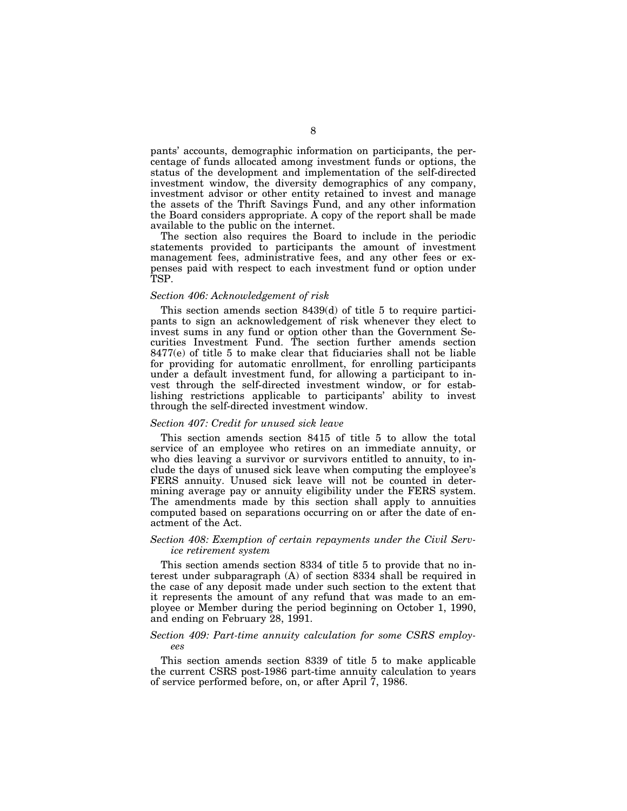pants' accounts, demographic information on participants, the percentage of funds allocated among investment funds or options, the status of the development and implementation of the self-directed investment window, the diversity demographics of any company, investment advisor or other entity retained to invest and manage the assets of the Thrift Savings Fund, and any other information the Board considers appropriate. A copy of the report shall be made available to the public on the internet.

The section also requires the Board to include in the periodic statements provided to participants the amount of investment management fees, administrative fees, and any other fees or expenses paid with respect to each investment fund or option under TSP.

#### *Section 406: Acknowledgement of risk*

This section amends section 8439(d) of title 5 to require participants to sign an acknowledgement of risk whenever they elect to invest sums in any fund or option other than the Government Securities Investment Fund. The section further amends section 8477(e) of title 5 to make clear that fiduciaries shall not be liable for providing for automatic enrollment, for enrolling participants under a default investment fund, for allowing a participant to invest through the self-directed investment window, or for establishing restrictions applicable to participants' ability to invest through the self-directed investment window.

#### *Section 407: Credit for unused sick leave*

This section amends section 8415 of title 5 to allow the total service of an employee who retires on an immediate annuity, or who dies leaving a survivor or survivors entitled to annuity, to include the days of unused sick leave when computing the employee's FERS annuity. Unused sick leave will not be counted in determining average pay or annuity eligibility under the FERS system. The amendments made by this section shall apply to annuities computed based on separations occurring on or after the date of enactment of the Act.

## *Section 408: Exemption of certain repayments under the Civil Service retirement system*

This section amends section 8334 of title 5 to provide that no interest under subparagraph (A) of section 8334 shall be required in the case of any deposit made under such section to the extent that it represents the amount of any refund that was made to an employee or Member during the period beginning on October 1, 1990, and ending on February 28, 1991.

### *Section 409: Part-time annuity calculation for some CSRS employees*

This section amends section 8339 of title 5 to make applicable the current CSRS post-1986 part-time annuity calculation to years of service performed before, on, or after April 7, 1986.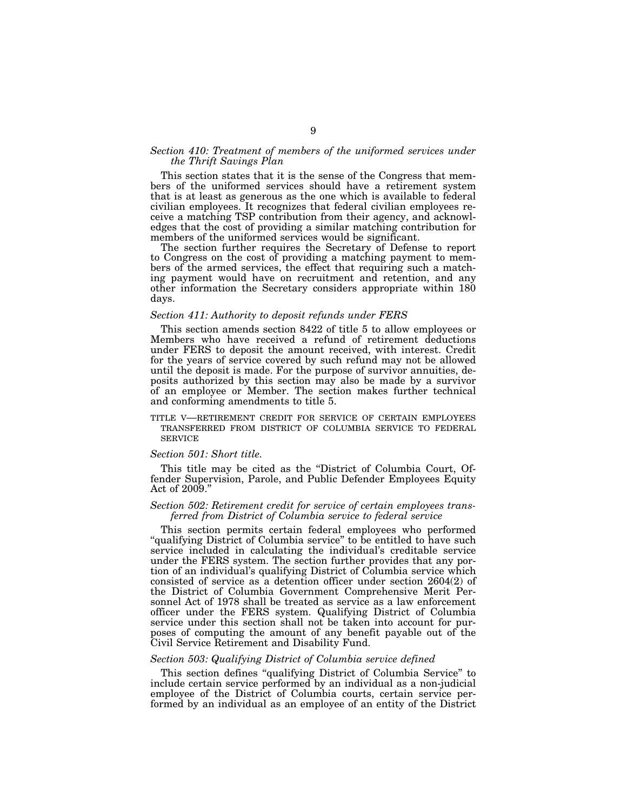#### Section 410: Treatment of members of the uniformed services under *the Thrift Savings Plan*

This section states that it is the sense of the Congress that members of the uniformed services should have a retirement system that is at least as generous as the one which is available to federal civilian employees. It recognizes that federal civilian employees receive a matching TSP contribution from their agency, and acknowledges that the cost of providing a similar matching contribution for members of the uniformed services would be significant.

The section further requires the Secretary of Defense to report to Congress on the cost of providing a matching payment to members of the armed services, the effect that requiring such a matching payment would have on recruitment and retention, and any other information the Secretary considers appropriate within 180 days.

#### *Section 411: Authority to deposit refunds under FERS*

This section amends section 8422 of title 5 to allow employees or Members who have received a refund of retirement deductions under FERS to deposit the amount received, with interest. Credit for the years of service covered by such refund may not be allowed until the deposit is made. For the purpose of survivor annuities, deposits authorized by this section may also be made by a survivor of an employee or Member. The section makes further technical and conforming amendments to title 5.

TITLE V—RETIREMENT CREDIT FOR SERVICE OF CERTAIN EMPLOYEES TRANSFERRED FROM DISTRICT OF COLUMBIA SERVICE TO FEDERAL SERVICE

#### *Section 501: Short title.*

This title may be cited as the ''District of Columbia Court, Offender Supervision, Parole, and Public Defender Employees Equity Act of 2009.''

#### *Section 502: Retirement credit for service of certain employees transferred from District of Columbia service to federal service*

This section permits certain federal employees who performed "qualifying District of Columbia service" to be entitled to have such service included in calculating the individual's creditable service under the FERS system. The section further provides that any portion of an individual's qualifying District of Columbia service which consisted of service as a detention officer under section 2604(2) of the District of Columbia Government Comprehensive Merit Personnel Act of 1978 shall be treated as service as a law enforcement officer under the FERS system. Qualifying District of Columbia service under this section shall not be taken into account for purposes of computing the amount of any benefit payable out of the Civil Service Retirement and Disability Fund.

#### *Section 503: Qualifying District of Columbia service defined*

This section defines ''qualifying District of Columbia Service'' to include certain service performed by an individual as a non-judicial employee of the District of Columbia courts, certain service performed by an individual as an employee of an entity of the District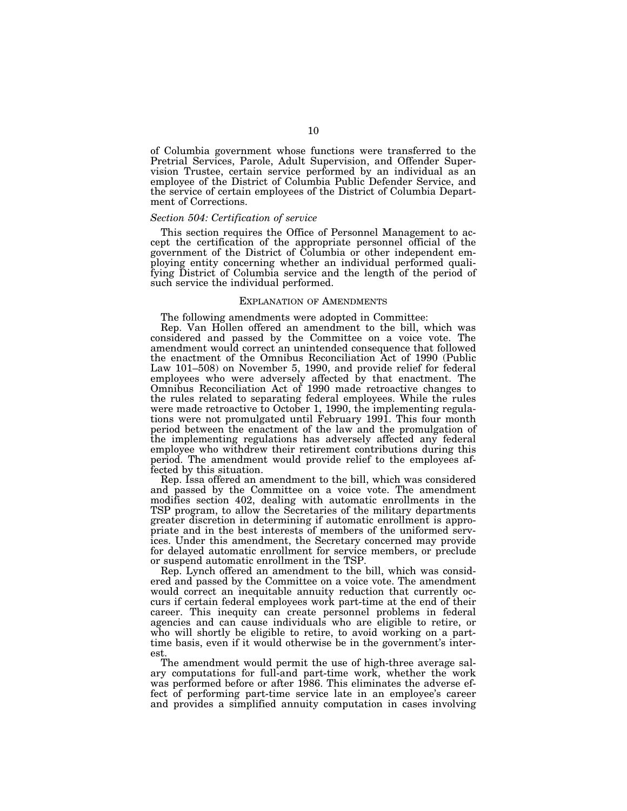of Columbia government whose functions were transferred to the Pretrial Services, Parole, Adult Supervision, and Offender Supervision Trustee, certain service performed by an individual as an employee of the District of Columbia Public Defender Service, and the service of certain employees of the District of Columbia Department of Corrections.

#### *Section 504: Certification of service*

This section requires the Office of Personnel Management to accept the certification of the appropriate personnel official of the government of the District of Columbia or other independent employing entity concerning whether an individual performed qualifying District of Columbia service and the length of the period of such service the individual performed.

#### EXPLANATION OF AMENDMENTS

The following amendments were adopted in Committee:

Rep. Van Hollen offered an amendment to the bill, which was considered and passed by the Committee on a voice vote. The amendment would correct an unintended consequence that followed the enactment of the Omnibus Reconciliation Act of 1990 (Public Law 101–508) on November 5, 1990, and provide relief for federal employees who were adversely affected by that enactment. The Omnibus Reconciliation Act of 1990 made retroactive changes to the rules related to separating federal employees. While the rules were made retroactive to October 1, 1990, the implementing regulations were not promulgated until February 1991. This four month period between the enactment of the law and the promulgation of the implementing regulations has adversely affected any federal employee who withdrew their retirement contributions during this period. The amendment would provide relief to the employees affected by this situation.

Rep. Issa offered an amendment to the bill, which was considered and passed by the Committee on a voice vote. The amendment modifies section 402, dealing with automatic enrollments in the TSP program, to allow the Secretaries of the military departments greater discretion in determining if automatic enrollment is appropriate and in the best interests of members of the uniformed services. Under this amendment, the Secretary concerned may provide for delayed automatic enrollment for service members, or preclude or suspend automatic enrollment in the TSP.

Rep. Lynch offered an amendment to the bill, which was considered and passed by the Committee on a voice vote. The amendment would correct an inequitable annuity reduction that currently occurs if certain federal employees work part-time at the end of their career. This inequity can create personnel problems in federal agencies and can cause individuals who are eligible to retire, or who will shortly be eligible to retire, to avoid working on a parttime basis, even if it would otherwise be in the government's interest.

The amendment would permit the use of high-three average salary computations for full-and part-time work, whether the work was performed before or after 1986. This eliminates the adverse effect of performing part-time service late in an employee's career and provides a simplified annuity computation in cases involving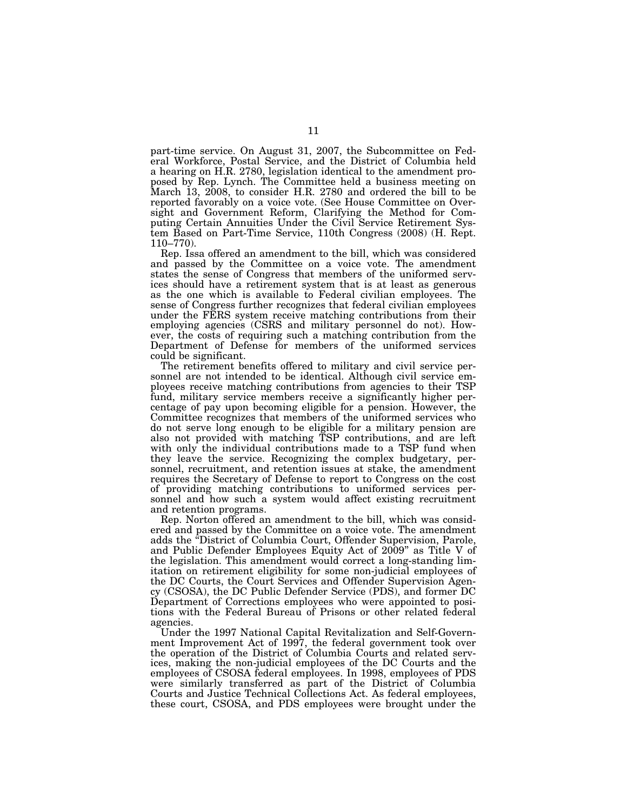part-time service. On August 31, 2007, the Subcommittee on Federal Workforce, Postal Service, and the District of Columbia held a hearing on H.R. 2780, legislation identical to the amendment proposed by Rep. Lynch. The Committee held a business meeting on March 13, 2008, to consider H.R. 2780 and ordered the bill to be reported favorably on a voice vote. (See House Committee on Oversight and Government Reform, Clarifying the Method for Computing Certain Annuities Under the Civil Service Retirement System Based on Part-Time Service, 110th Congress (2008) (H. Rept. 110–770).

Rep. Issa offered an amendment to the bill, which was considered and passed by the Committee on a voice vote. The amendment states the sense of Congress that members of the uniformed services should have a retirement system that is at least as generous as the one which is available to Federal civilian employees. The sense of Congress further recognizes that federal civilian employees under the FERS system receive matching contributions from their employing agencies (CSRS and military personnel do not). However, the costs of requiring such a matching contribution from the Department of Defense for members of the uniformed services could be significant.

The retirement benefits offered to military and civil service personnel are not intended to be identical. Although civil service employees receive matching contributions from agencies to their TSP fund, military service members receive a significantly higher percentage of pay upon becoming eligible for a pension. However, the Committee recognizes that members of the uniformed services who do not serve long enough to be eligible for a military pension are also not provided with matching TSP contributions, and are left with only the individual contributions made to a TSP fund when they leave the service. Recognizing the complex budgetary, personnel, recruitment, and retention issues at stake, the amendment requires the Secretary of Defense to report to Congress on the cost of providing matching contributions to uniformed services personnel and how such a system would affect existing recruitment and retention programs.

Rep. Norton offered an amendment to the bill, which was considered and passed by the Committee on a voice vote. The amendment adds the ''District of Columbia Court, Offender Supervision, Parole, and Public Defender Employees Equity Act of 2009'' as Title V of the legislation. This amendment would correct a long-standing limitation on retirement eligibility for some non-judicial employees of the DC Courts, the Court Services and Offender Supervision Agency (CSOSA), the DC Public Defender Service (PDS), and former DC Department of Corrections employees who were appointed to positions with the Federal Bureau of Prisons or other related federal agencies.

Under the 1997 National Capital Revitalization and Self-Government Improvement Act of 1997, the federal government took over the operation of the District of Columbia Courts and related services, making the non-judicial employees of the DC Courts and the employees of CSOSA federal employees. In 1998, employees of PDS were similarly transferred as part of the District of Columbia Courts and Justice Technical Collections Act. As federal employees, these court, CSOSA, and PDS employees were brought under the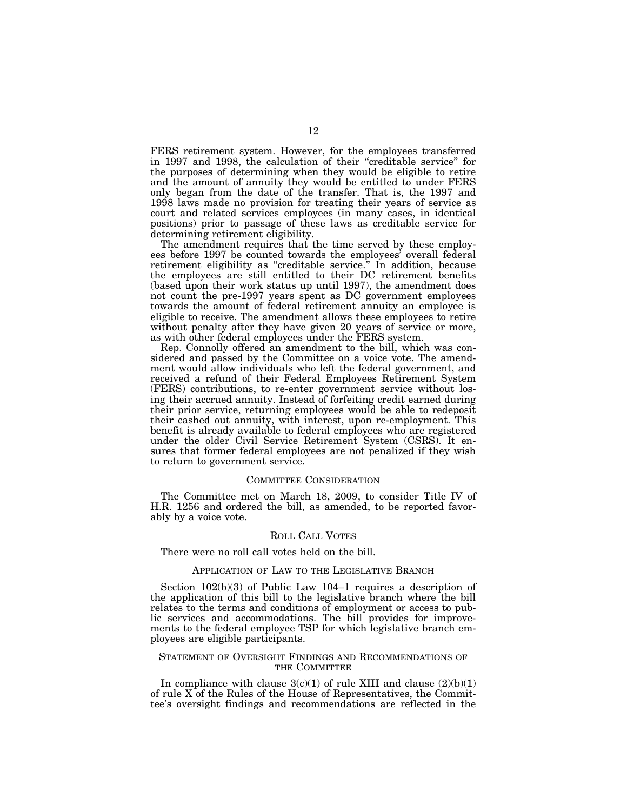FERS retirement system. However, for the employees transferred in 1997 and 1998, the calculation of their ''creditable service'' for the purposes of determining when they would be eligible to retire and the amount of annuity they would be entitled to under FERS only began from the date of the transfer. That is, the 1997 and 1998 laws made no provision for treating their years of service as court and related services employees (in many cases, in identical positions) prior to passage of these laws as creditable service for determining retirement eligibility.

The amendment requires that the time served by these employees before 1997 be counted towards the employees' overall federal retirement eligibility as ''creditable service.'' In addition, because the employees are still entitled to their DC retirement benefits (based upon their work status up until 1997), the amendment does not count the pre-1997 years spent as DC government employees towards the amount of federal retirement annuity an employee is eligible to receive. The amendment allows these employees to retire without penalty after they have given 20 years of service or more, as with other federal employees under the FERS system.

Rep. Connolly offered an amendment to the bill, which was considered and passed by the Committee on a voice vote. The amendment would allow individuals who left the federal government, and received a refund of their Federal Employees Retirement System (FERS) contributions, to re-enter government service without losing their accrued annuity. Instead of forfeiting credit earned during their prior service, returning employees would be able to redeposit their cashed out annuity, with interest, upon re-employment. This benefit is already available to federal employees who are registered under the older Civil Service Retirement System (CSRS). It ensures that former federal employees are not penalized if they wish to return to government service.

#### COMMITTEE CONSIDERATION

The Committee met on March 18, 2009, to consider Title IV of H.R. 1256 and ordered the bill, as amended, to be reported favorably by a voice vote.

#### ROLL CALL VOTES

There were no roll call votes held on the bill.

#### APPLICATION OF LAW TO THE LEGISLATIVE BRANCH

Section 102(b)(3) of Public Law 104–1 requires a description of the application of this bill to the legislative branch where the bill relates to the terms and conditions of employment or access to public services and accommodations. The bill provides for improvements to the federal employee TSP for which legislative branch employees are eligible participants.

#### STATEMENT OF OVERSIGHT FINDINGS AND RECOMMENDATIONS OF THE COMMITTEE

In compliance with clause  $3(c)(1)$  of rule XIII and clause  $(2)(b)(1)$ of rule X of the Rules of the House of Representatives, the Committee's oversight findings and recommendations are reflected in the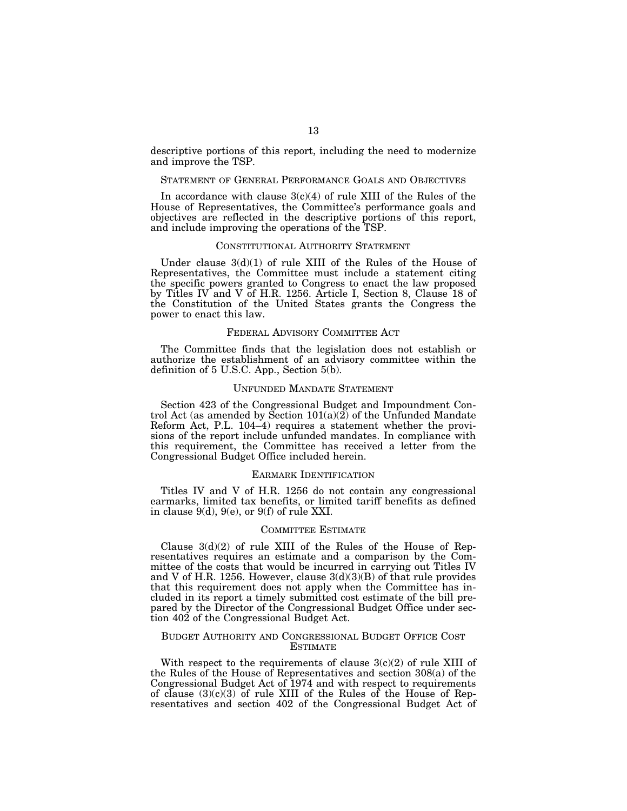descriptive portions of this report, including the need to modernize and improve the TSP.

#### STATEMENT OF GENERAL PERFORMANCE GOALS AND OBJECTIVES

In accordance with clause  $3(c)(4)$  of rule XIII of the Rules of the House of Representatives, the Committee's performance goals and objectives are reflected in the descriptive portions of this report, and include improving the operations of the TSP.

#### CONSTITUTIONAL AUTHORITY STATEMENT

Under clause  $3(d)(1)$  of rule XIII of the Rules of the House of Representatives, the Committee must include a statement citing the specific powers granted to Congress to enact the law proposed by Titles IV and V of H.R. 1256. Article I, Section 8, Clause 18 of the Constitution of the United States grants the Congress the power to enact this law.

#### FEDERAL ADVISORY COMMITTEE ACT

The Committee finds that the legislation does not establish or authorize the establishment of an advisory committee within the definition of 5 U.S.C. App., Section 5(b).

#### UNFUNDED MANDATE STATEMENT

Section 423 of the Congressional Budget and Impoundment Control Act (as amended by Section  $101(a)(2)$  of the Unfunded Mandate Reform Act, P.L. 104–4) requires a statement whether the provisions of the report include unfunded mandates. In compliance with this requirement, the Committee has received a letter from the Congressional Budget Office included herein.

#### EARMARK IDENTIFICATION

Titles IV and V of H.R. 1256 do not contain any congressional earmarks, limited tax benefits, or limited tariff benefits as defined in clause 9(d), 9(e), or 9(f) of rule XXI.

#### COMMITTEE ESTIMATE

Clause  $3(d)(2)$  of rule XIII of the Rules of the House of Representatives requires an estimate and a comparison by the Committee of the costs that would be incurred in carrying out Titles IV and V of H.R. 1256. However, clause 3(d)(3)(B) of that rule provides that this requirement does not apply when the Committee has included in its report a timely submitted cost estimate of the bill prepared by the Director of the Congressional Budget Office under section 402 of the Congressional Budget Act.

### BUDGET AUTHORITY AND CONGRESSIONAL BUDGET OFFICE COST ESTIMATE

With respect to the requirements of clause  $3(c)(2)$  of rule XIII of the Rules of the House of Representatives and section 308(a) of the Congressional Budget Act of 1974 and with respect to requirements of clause  $(3)(c)(3)$  of rule XIII of the Rules of the House of Representatives and section 402 of the Congressional Budget Act of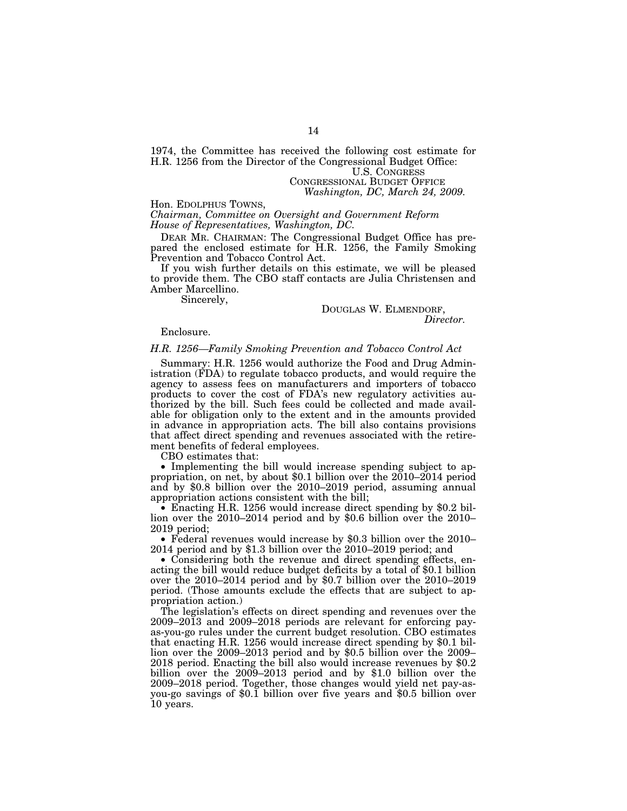1974, the Committee has received the following cost estimate for H.R. 1256 from the Director of the Congressional Budget Office: U.S. CONGRESS

CONGRESSIONAL BUDGET OFFICE *Washington, DC, March 24, 2009.* 

Hon. EDOLPHUS TOWNS, *Chairman, Committee on Oversight and Government Reform House of Representatives, Washington, DC.* 

DEAR MR. CHAIRMAN: The Congressional Budget Office has prepared the enclosed estimate for H.R. 1256, the Family Smoking Prevention and Tobacco Control Act.

If you wish further details on this estimate, we will be pleased to provide them. The CBO staff contacts are Julia Christensen and Amber Marcellino.

Sincerely,

DOUGLAS W. ELMENDORF, *Director.* 

Enclosure.

#### *H.R. 1256—Family Smoking Prevention and Tobacco Control Act*

Summary: H.R. 1256 would authorize the Food and Drug Administration (FDA) to regulate tobacco products, and would require the agency to assess fees on manufacturers and importers of tobacco products to cover the cost of FDA's new regulatory activities authorized by the bill. Such fees could be collected and made available for obligation only to the extent and in the amounts provided in advance in appropriation acts. The bill also contains provisions that affect direct spending and revenues associated with the retirement benefits of federal employees.

CBO estimates that:

• Implementing the bill would increase spending subject to appropriation, on net, by about \$0.1 billion over the 2010–2014 period and by \$0.8 billion over the 2010–2019 period, assuming annual appropriation actions consistent with the bill;

• Enacting H.R. 1256 would increase direct spending by \$0.2 billion over the 2010–2014 period and by \$0.6 billion over the 2010– 2019 period;

• Federal revenues would increase by \$0.3 billion over the 2010– 2014 period and by \$1.3 billion over the 2010–2019 period; and

• Considering both the revenue and direct spending effects, enacting the bill would reduce budget deficits by a total of \$0.1 billion over the 2010–2014 period and by \$0.7 billion over the 2010–2019 period. (Those amounts exclude the effects that are subject to appropriation action.)

The legislation's effects on direct spending and revenues over the 2009–2013 and 2009–2018 periods are relevant for enforcing payas-you-go rules under the current budget resolution. CBO estimates that enacting H.R. 1256 would increase direct spending by \$0.1 billion over the 2009–2013 period and by \$0.5 billion over the 2009– 2018 period. Enacting the bill also would increase revenues by \$0.2 billion over the 2009–2013 period and by \$1.0 billion over the 2009–2018 period. Together, those changes would yield net pay-asyou-go savings of \$0.1 billion over five years and \$0.5 billion over 10 years.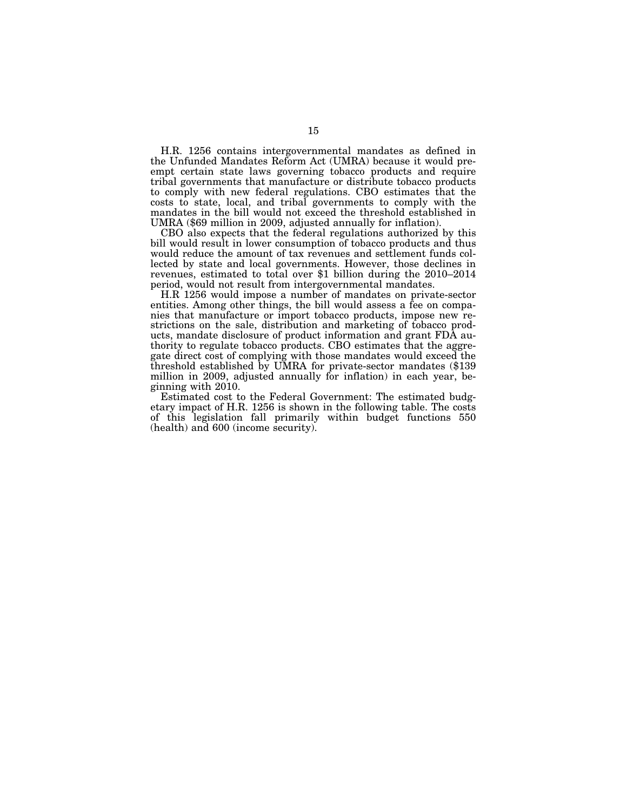H.R. 1256 contains intergovernmental mandates as defined in the Unfunded Mandates Reform Act (UMRA) because it would preempt certain state laws governing tobacco products and require tribal governments that manufacture or distribute tobacco products to comply with new federal regulations. CBO estimates that the costs to state, local, and tribal governments to comply with the mandates in the bill would not exceed the threshold established in UMRA (\$69 million in 2009, adjusted annually for inflation).

CBO also expects that the federal regulations authorized by this bill would result in lower consumption of tobacco products and thus would reduce the amount of tax revenues and settlement funds collected by state and local governments. However, those declines in revenues, estimated to total over \$1 billion during the 2010–2014 period, would not result from intergovernmental mandates.

H.R 1256 would impose a number of mandates on private-sector entities. Among other things, the bill would assess a fee on companies that manufacture or import tobacco products, impose new restrictions on the sale, distribution and marketing of tobacco products, mandate disclosure of product information and grant FDA authority to regulate tobacco products. CBO estimates that the aggregate direct cost of complying with those mandates would exceed the threshold established by UMRA for private-sector mandates (\$139 million in 2009, adjusted annually for inflation) in each year, beginning with 2010.

Estimated cost to the Federal Government: The estimated budgetary impact of H.R. 1256 is shown in the following table. The costs of this legislation fall primarily within budget functions 550 (health) and 600 (income security).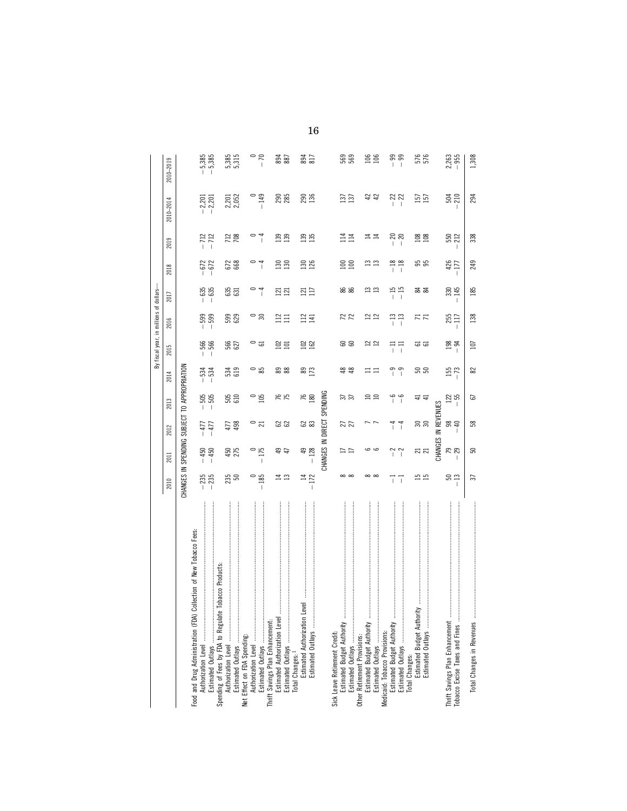|                                                                                                      |                                              |                                |                            |               |                                      |                              | By fiscal year, in millions of dollars- |                   |                              |                   |                      |                    |
|------------------------------------------------------------------------------------------------------|----------------------------------------------|--------------------------------|----------------------------|---------------|--------------------------------------|------------------------------|-----------------------------------------|-------------------|------------------------------|-------------------|----------------------|--------------------|
|                                                                                                      | 2010                                         | 2011                           | 2012                       | 2013          | 2014                                 | 2015                         | 2016                                    | 2017              | 2018                         | 2019              | 2010-2014            | 2010-2019          |
|                                                                                                      | CHANGES IN SPENDING SUBJECT TO APPROPRIATION |                                |                            |               |                                      |                              |                                         |                   |                              |                   |                      |                    |
| Collection of New Tobacco Fees:<br>Food and Drug Administration (FDA)                                |                                              |                                |                            |               |                                      |                              |                                         |                   |                              |                   |                      |                    |
|                                                                                                      | $-235$                                       | $-450$<br>$-450$               | $-477$<br>477              | $-505$        | 534<br>$\mathbf{I}$                  | <b>SSS</b><br>$\overline{1}$ | 599<br>599<br>$\mathbf{I}$              | $-635$<br>$-635$  | $-672$<br>$-672$             | $-712$            | $-2,201$<br>$-2,201$ | $-5,385$           |
| Tobacco Products:<br>Authorization Level<br>Estimated Outlays<br>Spending of Fees by FDA to Regulate | $-235$                                       |                                |                            | $-505$        |                                      | $\overline{1}$               | $\overline{\phantom{a}}$                |                   |                              | $-712$            |                      | $-5,385$           |
|                                                                                                      |                                              |                                | 477                        |               |                                      |                              |                                         |                   |                              |                   |                      | 5,385              |
|                                                                                                      | $235$<br>$50$                                | 450<br>275                     | 498                        | 505<br>610    | 534<br>619                           | 566<br>627                   | 59<br>529                               | 631               | 672                          | 712               | 2,201<br>2,052       | 5,315              |
|                                                                                                      |                                              |                                |                            |               |                                      |                              |                                         |                   |                              |                   |                      |                    |
|                                                                                                      | $\circ$                                      |                                |                            |               |                                      |                              |                                         |                   |                              |                   |                      |                    |
| Estimated Outlays<br>Thrift Savings Plan Enhancement:                                                | $-185$                                       | 175<br>$\overline{1}$          | $\frac{1}{21}$             | $\degree$ 0.5 | ి ప                                  | $\circ$ 5                    | $\circ$ $\approx$                       | $\frac{4}{1}$     | $\frac{4}{1}$                | $^{-1}$           | $-149$               | $rac{1}{\sqrt{2}}$ |
|                                                                                                      |                                              |                                |                            |               |                                      |                              |                                         |                   |                              |                   |                      |                    |
|                                                                                                      |                                              | 49                             | ಜ ಜ                        | K<br>K<br>K   | 88<br>88                             | $\frac{25}{101}$             | $\frac{22}{11}$                         | $\frac{12}{121}$  | $\frac{130}{130}$            | $\frac{33}{139}$  | 290<br>285           | 894<br>887         |
|                                                                                                      | $\mathbf{r}$                                 |                                |                            |               |                                      |                              |                                         |                   |                              |                   |                      |                    |
|                                                                                                      |                                              |                                |                            |               |                                      |                              |                                         |                   |                              |                   |                      |                    |
|                                                                                                      |                                              | $\overline{4}$                 |                            |               |                                      |                              |                                         | $\frac{121}{117}$ |                              |                   | 290<br>136           | 894<br>817         |
| Estimated Outlays                                                                                    | $14$<br>$-172$                               | $-128$                         | 23                         | $76$<br>180   | 89<br>173                            | $\frac{22}{20}$              | $\frac{12}{141}$                        |                   | $\frac{130}{126}$            | $\frac{135}{135}$ |                      |                    |
|                                                                                                      |                                              |                                | CHANGES IN DIRECT SPENDING |               |                                      |                              |                                         |                   |                              |                   |                      |                    |
| Sick Leave Retirement Credit:                                                                        |                                              |                                |                            |               |                                      |                              |                                         |                   |                              |                   |                      |                    |
|                                                                                                      |                                              |                                |                            |               |                                      |                              |                                         |                   |                              | $\Xi$             |                      |                    |
|                                                                                                      | $\infty$ $\infty$                            |                                | 27                         | 55<br>22      | 48                                   | ន ន                          | 22                                      | 86<br>86          | $\frac{50}{20}$              | 114               | 137                  | 563<br>563         |
|                                                                                                      |                                              |                                |                            |               |                                      |                              |                                         |                   |                              |                   |                      |                    |
|                                                                                                      |                                              |                                |                            |               |                                      |                              |                                         |                   | ≘                            |                   |                      | 106                |
|                                                                                                      | $\infty$ $\infty$                            |                                |                            | $\Xi$ $\Xi$   | ニニ                                   | $\approx$ $\approx$          | 22<br>22                                | <u>m</u> m        |                              | ココ                | $42$                 | 106                |
|                                                                                                      |                                              |                                |                            |               |                                      |                              |                                         |                   |                              |                   |                      |                    |
|                                                                                                      | $\overline{1}$                               | $\begin{array}{c} \end{array}$ | $\frac{4}{1}$              | $-6$          | თ<br>$\mathbf{I}$                    | 류류                           | $-13$                                   |                   |                              | $-20$             |                      |                    |
|                                                                                                      | 7                                            | 2<br>$\overline{\phantom{a}}$  | $\overline{1}$             | $\frac{6}{1}$ | $\sigma$<br>$\overline{\phantom{a}}$ |                              | $-13$                                   | $\frac{15}{15}$   | $\frac{18}{18}$              |                   | $-22$                | ႙ၷ<br>၂ ၂          |
| Total Changes:<br>Estimated Budget Authority                                                         |                                              |                                |                            |               |                                      |                              |                                         |                   |                              |                   |                      |                    |
|                                                                                                      | 51                                           |                                |                            |               |                                      |                              |                                         |                   |                              |                   |                      |                    |
| Estimated Outlays                                                                                    | $\overline{15}$                              | ನ ನ                            | នន                         | 극             | <u>ទី ទី</u>                         | ದ ದ                          | 77                                      | ಹ ಹ               | 55                           | $\frac{88}{100}$  | 157<br>157           | 576                |
|                                                                                                      |                                              | CHANGES                        | IN REVENUES                |               |                                      |                              |                                         |                   |                              |                   |                      |                    |
| Thrift Savings Plan Enhancement<br>Tobacco Excise Taxes and Fines                                    | <u>ន ។</u><br>$\overline{1}$                 | $-29$                          | 8 S                        | $127 - 55$    | $155$<br>$-73$                       | $198 - 94$                   | 255<br>117<br>$\overline{1}$            | $-145$            | 426<br>177<br>$\overline{1}$ | 550               | $\frac{54}{210}$     | $2,263$<br>$-955$  |
|                                                                                                      |                                              |                                | T                          |               |                                      |                              |                                         |                   |                              |                   |                      |                    |
|                                                                                                      | 57                                           | S0                             | SS <sub>1</sub>            | 5             | 82                                   | 107                          | 138                                     | 185               | 249                          | 338               | 294                  | 1,308              |

16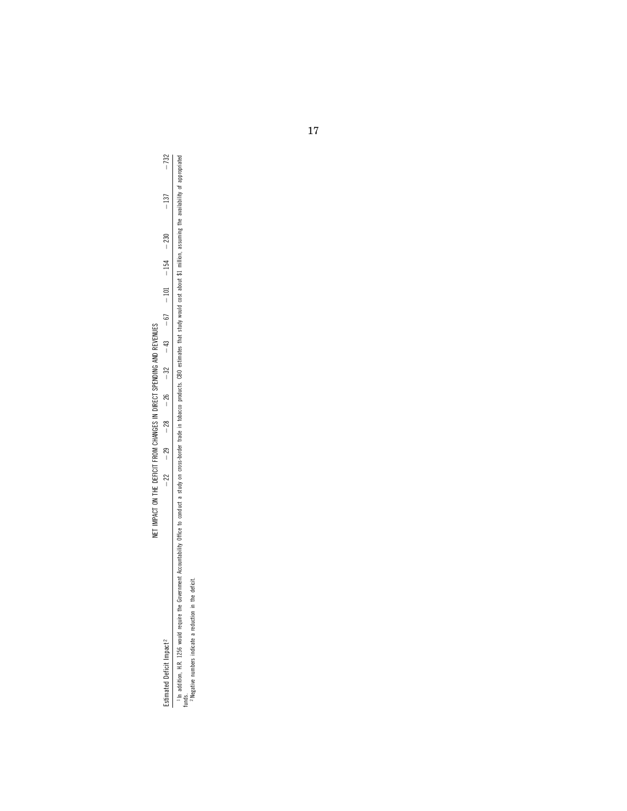# NET IMPACT ON THE DEFICIT FROM CHANGES IN DIRECT SPENDING AND REVENUES NET IMPACT ON THE DEFICIT FROM CHANGES IN DIRECT SPENDING AND REVENUES

Estimated Deficit Impact 2 ¥22 ¥29 ¥28 ¥26 ¥32 ¥43 ¥67 ¥101 ¥154 ¥230 ¥137 ¥732

In addition, H.R. 1256 would require the Government Accountability Office to conduct a study on cross-border trade in tobacco products. CBO estimates that study would cost about \$1 million, assuming the availability of ap In addition, H.R. 1256 would require the Government Accountability Office to conduct a study on cross-border trade in tobacco products. CBO estimates that study would cost about \$1 milion, assuming the availability of appr funds. 2 Negative numbers indicate a reduction in the deficit.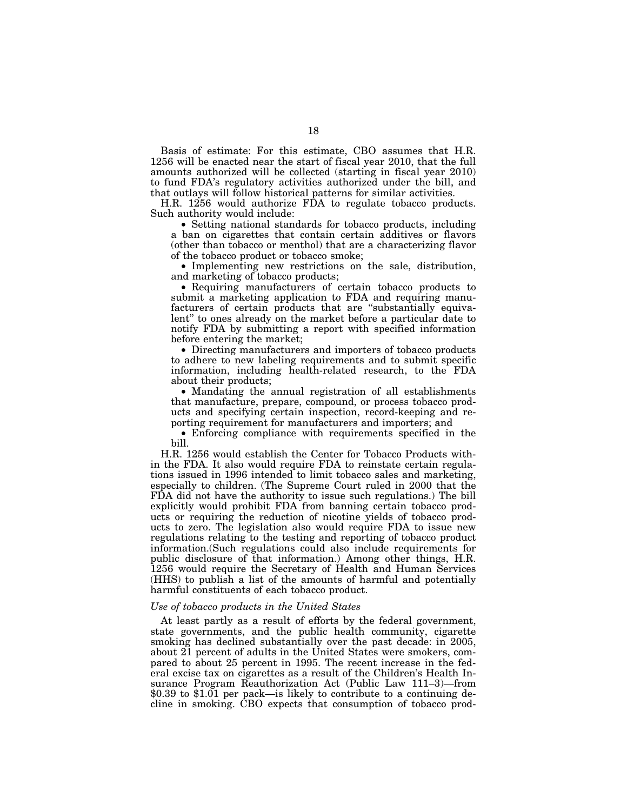Basis of estimate: For this estimate, CBO assumes that H.R. 1256 will be enacted near the start of fiscal year 2010, that the full amounts authorized will be collected (starting in fiscal year 2010) to fund FDA's regulatory activities authorized under the bill, and that outlays will follow historical patterns for similar activities.

H.R. 1256 would authorize FDA to regulate tobacco products. Such authority would include:

• Setting national standards for tobacco products, including a ban on cigarettes that contain certain additives or flavors (other than tobacco or menthol) that are a characterizing flavor of the tobacco product or tobacco smoke;

• Implementing new restrictions on the sale, distribution, and marketing of tobacco products;

• Requiring manufacturers of certain tobacco products to submit a marketing application to FDA and requiring manufacturers of certain products that are ''substantially equivalent'' to ones already on the market before a particular date to notify FDA by submitting a report with specified information before entering the market;

• Directing manufacturers and importers of tobacco products to adhere to new labeling requirements and to submit specific information, including health-related research, to the FDA about their products;

• Mandating the annual registration of all establishments that manufacture, prepare, compound, or process tobacco products and specifying certain inspection, record-keeping and reporting requirement for manufacturers and importers; and

• Enforcing compliance with requirements specified in the bill.

H.R. 1256 would establish the Center for Tobacco Products within the FDA. It also would require FDA to reinstate certain regulations issued in 1996 intended to limit tobacco sales and marketing, especially to children. (The Supreme Court ruled in 2000 that the FDA did not have the authority to issue such regulations.) The bill explicitly would prohibit FDA from banning certain tobacco products or requiring the reduction of nicotine yields of tobacco products to zero. The legislation also would require FDA to issue new regulations relating to the testing and reporting of tobacco product information.(Such regulations could also include requirements for public disclosure of that information.) Among other things, H.R. 1256 would require the Secretary of Health and Human Services (HHS) to publish a list of the amounts of harmful and potentially harmful constituents of each tobacco product.

#### *Use of tobacco products in the United States*

At least partly as a result of efforts by the federal government, state governments, and the public health community, cigarette smoking has declined substantially over the past decade: in 2005, about 21 percent of adults in the United States were smokers, compared to about 25 percent in 1995. The recent increase in the federal excise tax on cigarettes as a result of the Children's Health Insurance Program Reauthorization Act (Public Law 111–3)—from \$0.39 to \$1.01 per pack—is likely to contribute to a continuing decline in smoking. CBO expects that consumption of tobacco prod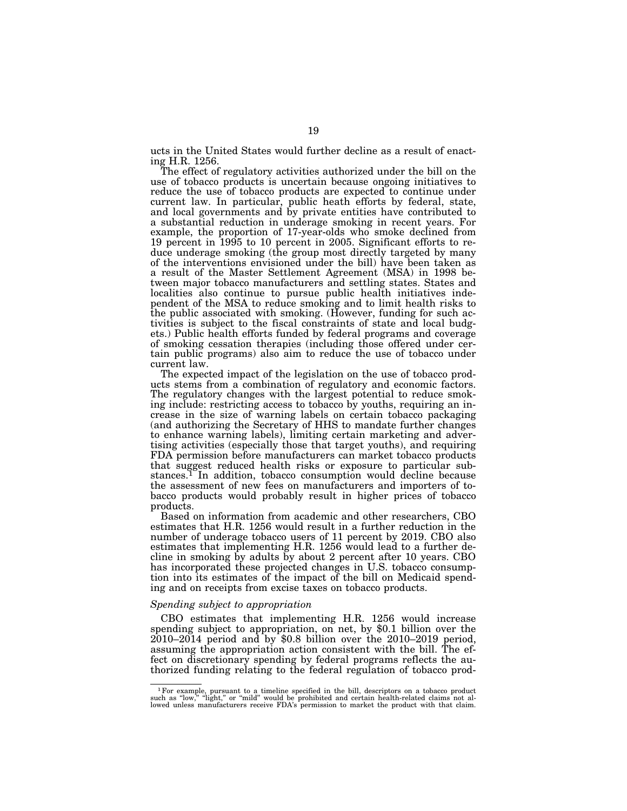ucts in the United States would further decline as a result of enacting H.R. 1256.

The effect of regulatory activities authorized under the bill on the use of tobacco products is uncertain because ongoing initiatives to reduce the use of tobacco products are expected to continue under current law. In particular, public heath efforts by federal, state, and local governments and by private entities have contributed to a substantial reduction in underage smoking in recent years. For example, the proportion of 17-year-olds who smoke declined from 19 percent in 1995 to 10 percent in 2005. Significant efforts to reduce underage smoking (the group most directly targeted by many of the interventions envisioned under the bill) have been taken as a result of the Master Settlement Agreement (MSA) in 1998 between major tobacco manufacturers and settling states. States and localities also continue to pursue public health initiatives independent of the MSA to reduce smoking and to limit health risks to the public associated with smoking. (However, funding for such activities is subject to the fiscal constraints of state and local budgets.) Public health efforts funded by federal programs and coverage of smoking cessation therapies (including those offered under certain public programs) also aim to reduce the use of tobacco under current law.

The expected impact of the legislation on the use of tobacco products stems from a combination of regulatory and economic factors. The regulatory changes with the largest potential to reduce smoking include: restricting access to tobacco by youths, requiring an increase in the size of warning labels on certain tobacco packaging (and authorizing the Secretary of HHS to mandate further changes to enhance warning labels), limiting certain marketing and advertising activities (especially those that target youths), and requiring FDA permission before manufacturers can market tobacco products that suggest reduced health risks or exposure to particular substances.1 In addition, tobacco consumption would decline because the assessment of new fees on manufacturers and importers of tobacco products would probably result in higher prices of tobacco products.

Based on information from academic and other researchers, CBO estimates that H.R. 1256 would result in a further reduction in the number of underage tobacco users of 11 percent by 2019. CBO also estimates that implementing H.R. 1256 would lead to a further decline in smoking by adults by about 2 percent after 10 years. CBO has incorporated these projected changes in U.S. tobacco consumption into its estimates of the impact of the bill on Medicaid spending and on receipts from excise taxes on tobacco products.

#### *Spending subject to appropriation*

CBO estimates that implementing H.R. 1256 would increase spending subject to appropriation, on net, by \$0.1 billion over the 2010–2014 period and by \$0.8 billion over the 2010–2019 period, assuming the appropriation action consistent with the bill. The effect on discretionary spending by federal programs reflects the authorized funding relating to the federal regulation of tobacco prod-

 $1$  For example, pursuant to a timeline specified in the bill, descriptors on a tobacco product such as "low," "light," or "mild" would be prohibited and certain health-related claims not allowed unless manufacturers rece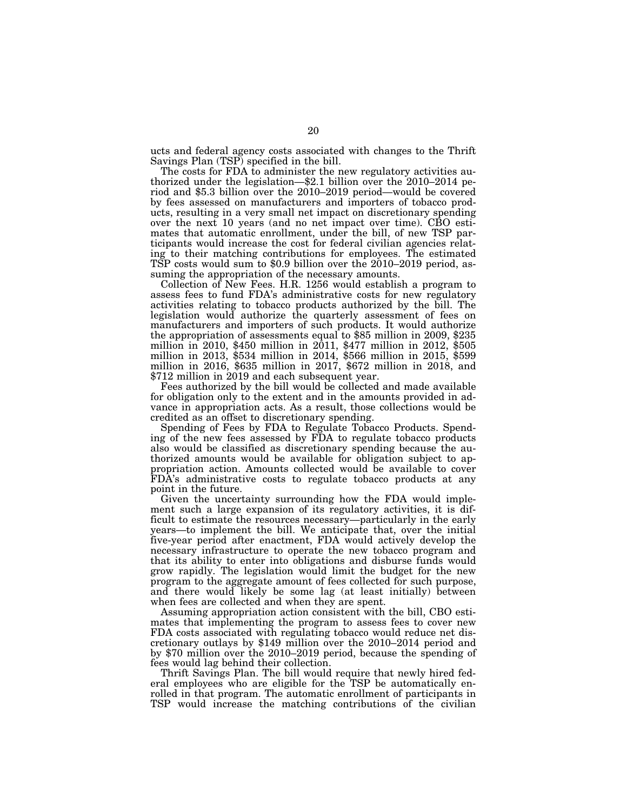ucts and federal agency costs associated with changes to the Thrift

Savings Plan (TSP) specified in the bill.<br>The costs for FDA to administer the new regulatory activities authorized under the legislation— $$2.1$  billion over the 2010–2014 period and \$5.3 billion over the 2010-2019 period—would be covered by fees assessed on manufacturers and importers of tobacco products, resulting in a very small net impact on discretionary spending over the next 10 years (and no net impact over time). CBO estimates that automatic enrollment, under the bill, of new TSP participants would increase the cost for federal civilian agencies relating to their matching contributions for employees. The estimated TSP costs would sum to \$0.9 billion over the  $2010-2019$  period, assuming the appropriation of the necessary amounts.

Collection of New Fees. H.R. 1256 would establish a program to assess fees to fund FDA's administrative costs for new regulatory activities relating to tobacco products authorized by the bill. The legislation would authorize the quarterly assessment of fees on manufacturers and importers of such products. It would authorize the appropriation of assessments equal to \$85 million in 2009, \$235 million in 2010, \$450 million in 2011, \$477 million in 2012, \$505 million in 2013, \$534 million in 2014, \$566 million in 2015, \$599 million in 2016, \$635 million in 2017, \$672 million in 2018, and \$712 million in 2019 and each subsequent year.

Fees authorized by the bill would be collected and made available for obligation only to the extent and in the amounts provided in advance in appropriation acts. As a result, those collections would be credited as an offset to discretionary spending.

Spending of Fees by FDA to Regulate Tobacco Products. Spending of the new fees assessed by FDA to regulate tobacco products also would be classified as discretionary spending because the authorized amounts would be available for obligation subject to appropriation action. Amounts collected would be available to cover FDA's administrative costs to regulate tobacco products at any point in the future.

Given the uncertainty surrounding how the FDA would implement such a large expansion of its regulatory activities, it is difficult to estimate the resources necessary—particularly in the early years—to implement the bill. We anticipate that, over the initial five-year period after enactment, FDA would actively develop the necessary infrastructure to operate the new tobacco program and that its ability to enter into obligations and disburse funds would grow rapidly. The legislation would limit the budget for the new program to the aggregate amount of fees collected for such purpose, and there would likely be some lag (at least initially) between when fees are collected and when they are spent.

Assuming appropriation action consistent with the bill, CBO estimates that implementing the program to assess fees to cover new FDA costs associated with regulating tobacco would reduce net discretionary outlays by \$149 million over the 2010–2014 period and by \$70 million over the 2010–2019 period, because the spending of fees would lag behind their collection.

Thrift Savings Plan. The bill would require that newly hired federal employees who are eligible for the TSP be automatically enrolled in that program. The automatic enrollment of participants in TSP would increase the matching contributions of the civilian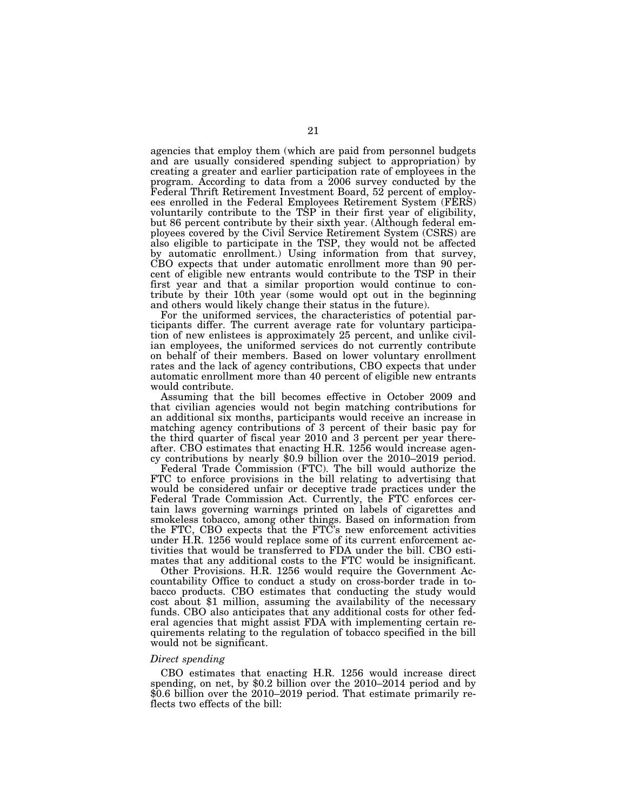agencies that employ them (which are paid from personnel budgets and are usually considered spending subject to appropriation) by creating a greater and earlier participation rate of employees in the program. According to data from a 2006 survey conducted by the Federal Thrift Retirement Investment Board, 52 percent of employees enrolled in the Federal Employees Retirement System (FERS) voluntarily contribute to the TSP in their first year of eligibility, but 86 percent contribute by their sixth year. (Although federal employees covered by the Civil Service Retirement System (CSRS) are also eligible to participate in the TSP, they would not be affected by automatic enrollment.) Using information from that survey, CBO expects that under automatic enrollment more than 90 percent of eligible new entrants would contribute to the TSP in their first year and that a similar proportion would continue to contribute by their 10th year (some would opt out in the beginning and others would likely change their status in the future).

For the uniformed services, the characteristics of potential participants differ. The current average rate for voluntary participation of new enlistees is approximately 25 percent, and unlike civilian employees, the uniformed services do not currently contribute on behalf of their members. Based on lower voluntary enrollment rates and the lack of agency contributions, CBO expects that under automatic enrollment more than 40 percent of eligible new entrants would contribute.

Assuming that the bill becomes effective in October 2009 and that civilian agencies would not begin matching contributions for an additional six months, participants would receive an increase in matching agency contributions of 3 percent of their basic pay for the third quarter of fiscal year 2010 and 3 percent per year thereafter. CBO estimates that enacting H.R. 1256 would increase agency contributions by nearly \$0.9 billion over the 2010–2019 period.

Federal Trade Commission (FTC). The bill would authorize the FTC to enforce provisions in the bill relating to advertising that would be considered unfair or deceptive trade practices under the Federal Trade Commission Act. Currently, the FTC enforces certain laws governing warnings printed on labels of cigarettes and smokeless tobacco, among other things. Based on information from the FTC, CBO expects that the FTC's new enforcement activities under H.R. 1256 would replace some of its current enforcement activities that would be transferred to FDA under the bill. CBO estimates that any additional costs to the FTC would be insignificant.

Other Provisions. H.R. 1256 would require the Government Accountability Office to conduct a study on cross-border trade in tobacco products. CBO estimates that conducting the study would cost about \$1 million, assuming the availability of the necessary funds. CBO also anticipates that any additional costs for other federal agencies that might assist FDA with implementing certain requirements relating to the regulation of tobacco specified in the bill would not be significant.

#### *Direct spending*

CBO estimates that enacting H.R. 1256 would increase direct spending, on net, by \$0.2 billion over the 2010–2014 period and by \$0.6 billion over the 2010–2019 period. That estimate primarily reflects two effects of the bill: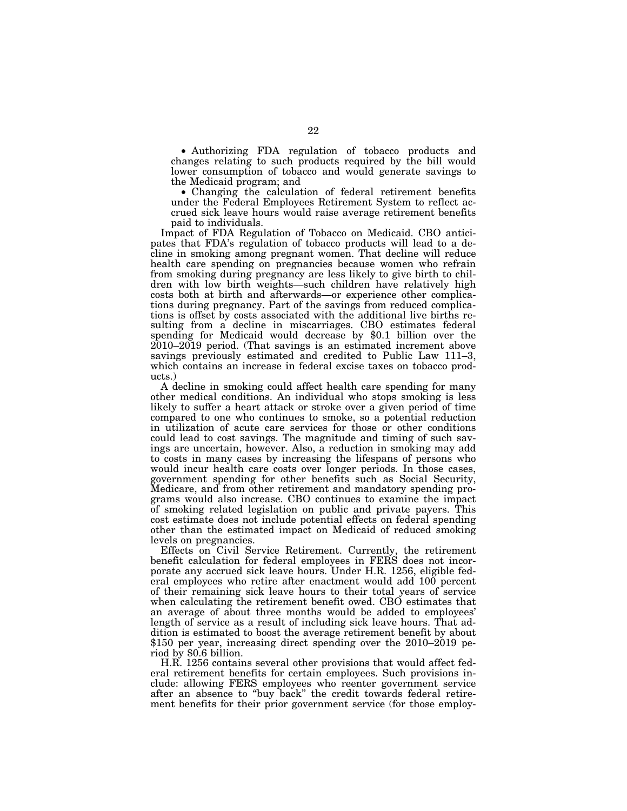• Authorizing FDA regulation of tobacco products and changes relating to such products required by the bill would lower consumption of tobacco and would generate savings to the Medicaid program; and

• Changing the calculation of federal retirement benefits under the Federal Employees Retirement System to reflect accrued sick leave hours would raise average retirement benefits paid to individuals.

Impact of FDA Regulation of Tobacco on Medicaid. CBO anticipates that FDA's regulation of tobacco products will lead to a decline in smoking among pregnant women. That decline will reduce health care spending on pregnancies because women who refrain from smoking during pregnancy are less likely to give birth to children with low birth weights—such children have relatively high costs both at birth and afterwards—or experience other complications during pregnancy. Part of the savings from reduced complications is offset by costs associated with the additional live births resulting from a decline in miscarriages. CBO estimates federal spending for Medicaid would decrease by \$0.1 billion over the 2010–2019 period. (That savings is an estimated increment above savings previously estimated and credited to Public Law 111–3, which contains an increase in federal excise taxes on tobacco products.)

A decline in smoking could affect health care spending for many other medical conditions. An individual who stops smoking is less likely to suffer a heart attack or stroke over a given period of time compared to one who continues to smoke, so a potential reduction in utilization of acute care services for those or other conditions could lead to cost savings. The magnitude and timing of such savings are uncertain, however. Also, a reduction in smoking may add to costs in many cases by increasing the lifespans of persons who would incur health care costs over longer periods. In those cases, government spending for other benefits such as Social Security, Medicare, and from other retirement and mandatory spending programs would also increase. CBO continues to examine the impact of smoking related legislation on public and private payers. This cost estimate does not include potential effects on federal spending other than the estimated impact on Medicaid of reduced smoking levels on pregnancies.

Effects on Civil Service Retirement. Currently, the retirement benefit calculation for federal employees in FERS does not incorporate any accrued sick leave hours. Under H.R. 1256, eligible federal employees who retire after enactment would add 100 percent of their remaining sick leave hours to their total years of service when calculating the retirement benefit owed. CBO estimates that an average of about three months would be added to employees' length of service as a result of including sick leave hours. That addition is estimated to boost the average retirement benefit by about \$150 per year, increasing direct spending over the 2010–2019 period by \$0.6 billion.

H.R. 1256 contains several other provisions that would affect federal retirement benefits for certain employees. Such provisions include: allowing FERS employees who reenter government service after an absence to ''buy back'' the credit towards federal retirement benefits for their prior government service (for those employ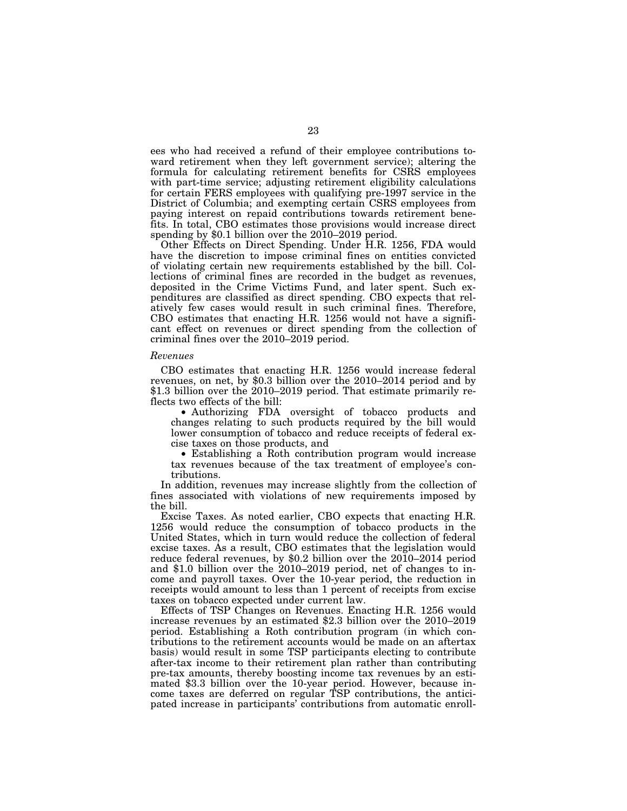ees who had received a refund of their employee contributions toward retirement when they left government service); altering the formula for calculating retirement benefits for CSRS employees with part-time service; adjusting retirement eligibility calculations for certain FERS employees with qualifying pre-1997 service in the District of Columbia; and exempting certain CSRS employees from paying interest on repaid contributions towards retirement benefits. In total, CBO estimates those provisions would increase direct spending by \$0.1 billion over the 2010–2019 period.

Other Effects on Direct Spending. Under H.R. 1256, FDA would have the discretion to impose criminal fines on entities convicted of violating certain new requirements established by the bill. Collections of criminal fines are recorded in the budget as revenues, deposited in the Crime Victims Fund, and later spent. Such expenditures are classified as direct spending. CBO expects that relatively few cases would result in such criminal fines. Therefore, CBO estimates that enacting H.R. 1256 would not have a significant effect on revenues or direct spending from the collection of criminal fines over the 2010–2019 period.

#### *Revenues*

CBO estimates that enacting H.R. 1256 would increase federal revenues, on net, by \$0.3 billion over the 2010–2014 period and by \$1.3 billion over the 2010–2019 period. That estimate primarily reflects two effects of the bill:

• Authorizing FDA oversight of tobacco products and changes relating to such products required by the bill would lower consumption of tobacco and reduce receipts of federal excise taxes on those products, and

• Establishing a Roth contribution program would increase tax revenues because of the tax treatment of employee's contributions.

In addition, revenues may increase slightly from the collection of fines associated with violations of new requirements imposed by the bill.

Excise Taxes. As noted earlier, CBO expects that enacting H.R. 1256 would reduce the consumption of tobacco products in the United States, which in turn would reduce the collection of federal excise taxes. As a result, CBO estimates that the legislation would reduce federal revenues, by \$0.2 billion over the  $20\overline{1}0-2014$  period and \$1.0 billion over the 2010–2019 period, net of changes to income and payroll taxes. Over the 10-year period, the reduction in receipts would amount to less than 1 percent of receipts from excise taxes on tobacco expected under current law.

Effects of TSP Changes on Revenues. Enacting H.R. 1256 would increase revenues by an estimated \$2.3 billion over the 2010–2019 period. Establishing a Roth contribution program (in which contributions to the retirement accounts would be made on an aftertax basis) would result in some TSP participants electing to contribute after-tax income to their retirement plan rather than contributing pre-tax amounts, thereby boosting income tax revenues by an estimated \$3.3 billion over the 10-year period. However, because income taxes are deferred on regular TSP contributions, the anticipated increase in participants' contributions from automatic enroll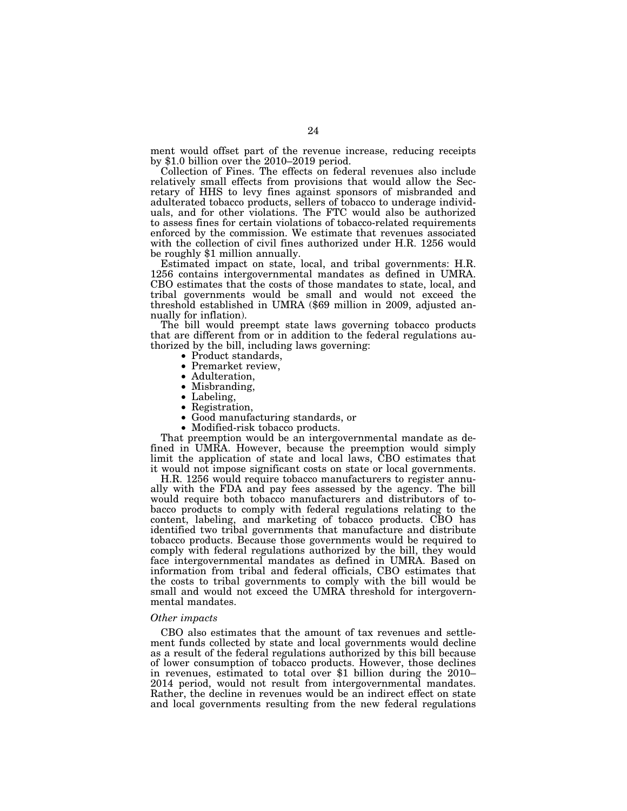ment would offset part of the revenue increase, reducing receipts by \$1.0 billion over the 2010–2019 period.

Collection of Fines. The effects on federal revenues also include relatively small effects from provisions that would allow the Secretary of HHS to levy fines against sponsors of misbranded and adulterated tobacco products, sellers of tobacco to underage individuals, and for other violations. The FTC would also be authorized to assess fines for certain violations of tobacco-related requirements enforced by the commission. We estimate that revenues associated with the collection of civil fines authorized under H.R. 1256 would be roughly \$1 million annually.

Estimated impact on state, local, and tribal governments: H.R. 1256 contains intergovernmental mandates as defined in UMRA. CBO estimates that the costs of those mandates to state, local, and tribal governments would be small and would not exceed the threshold established in UMRA (\$69 million in 2009, adjusted annually for inflation).

The bill would preempt state laws governing tobacco products that are different from or in addition to the federal regulations authorized by the bill, including laws governing:

- 
- 
- 
- 
- 
- 
- Product standards,<br>• Premarket review,<br>• Adulteration,<br>• Misbranding,<br>• Labeling,<br>• Registration,<br>• Good manufacturing standards, or<br>• Modified-risk tobacco products.
- 

That preemption would be an intergovernmental mandate as defined in UMRA. However, because the preemption would simply limit the application of state and local laws, CBO estimates that it would not impose significant costs on state or local governments.

H.R. 1256 would require tobacco manufacturers to register annually with the FDA and pay fees assessed by the agency. The bill would require both tobacco manufacturers and distributors of tobacco products to comply with federal regulations relating to the content, labeling, and marketing of tobacco products. CBO has identified two tribal governments that manufacture and distribute tobacco products. Because those governments would be required to comply with federal regulations authorized by the bill, they would face intergovernmental mandates as defined in UMRA. Based on information from tribal and federal officials, CBO estimates that the costs to tribal governments to comply with the bill would be small and would not exceed the UMRA threshold for intergovernmental mandates.

#### *Other impacts*

CBO also estimates that the amount of tax revenues and settlement funds collected by state and local governments would decline as a result of the federal regulations authorized by this bill because of lower consumption of tobacco products. However, those declines in revenues, estimated to total over \$1 billion during the 2010– 2014 period, would not result from intergovernmental mandates. Rather, the decline in revenues would be an indirect effect on state and local governments resulting from the new federal regulations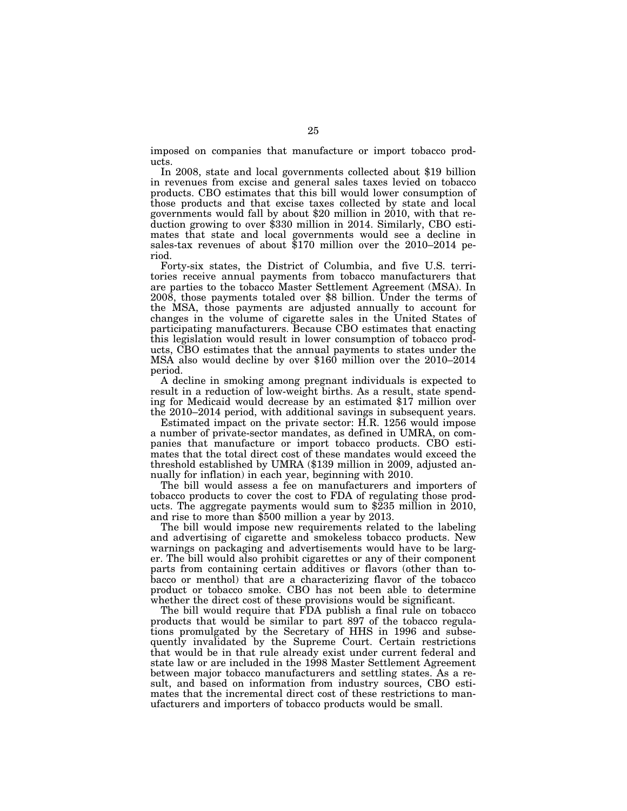imposed on companies that manufacture or import tobacco products.

In 2008, state and local governments collected about \$19 billion in revenues from excise and general sales taxes levied on tobacco products. CBO estimates that this bill would lower consumption of those products and that excise taxes collected by state and local governments would fall by about \$20 million in  $2010$ , with that reduction growing to over \$330 million in 2014. Similarly, CBO estimates that state and local governments would see a decline in sales-tax revenues of about \$170 million over the 2010–2014 period.

Forty-six states, the District of Columbia, and five U.S. territories receive annual payments from tobacco manufacturers that are parties to the tobacco Master Settlement Agreement (MSA). In 2008, those payments totaled over \$8 billion. Under the terms of the MSA, those payments are adjusted annually to account for changes in the volume of cigarette sales in the United States of participating manufacturers. Because CBO estimates that enacting this legislation would result in lower consumption of tobacco products, CBO estimates that the annual payments to states under the MSA also would decline by over \$160 million over the 2010–2014 period.

A decline in smoking among pregnant individuals is expected to result in a reduction of low-weight births. As a result, state spending for Medicaid would decrease by an estimated \$17 million over the 2010–2014 period, with additional savings in subsequent years.

Estimated impact on the private sector: H.R. 1256 would impose a number of private-sector mandates, as defined in UMRA, on companies that manufacture or import tobacco products. CBO estimates that the total direct cost of these mandates would exceed the threshold established by UMRA (\$139 million in 2009, adjusted annually for inflation) in each year, beginning with 2010.

The bill would assess a fee on manufacturers and importers of tobacco products to cover the cost to FDA of regulating those products. The aggregate payments would sum to \$235 million in 2010, and rise to more than \$500 million a year by 2013.

The bill would impose new requirements related to the labeling and advertising of cigarette and smokeless tobacco products. New warnings on packaging and advertisements would have to be larger. The bill would also prohibit cigarettes or any of their component parts from containing certain additives or flavors (other than tobacco or menthol) that are a characterizing flavor of the tobacco product or tobacco smoke. CBO has not been able to determine whether the direct cost of these provisions would be significant.

The bill would require that FDA publish a final rule on tobacco products that would be similar to part 897 of the tobacco regulations promulgated by the Secretary of HHS in 1996 and subsequently invalidated by the Supreme Court. Certain restrictions that would be in that rule already exist under current federal and state law or are included in the 1998 Master Settlement Agreement between major tobacco manufacturers and settling states. As a result, and based on information from industry sources, CBO estimates that the incremental direct cost of these restrictions to manufacturers and importers of tobacco products would be small.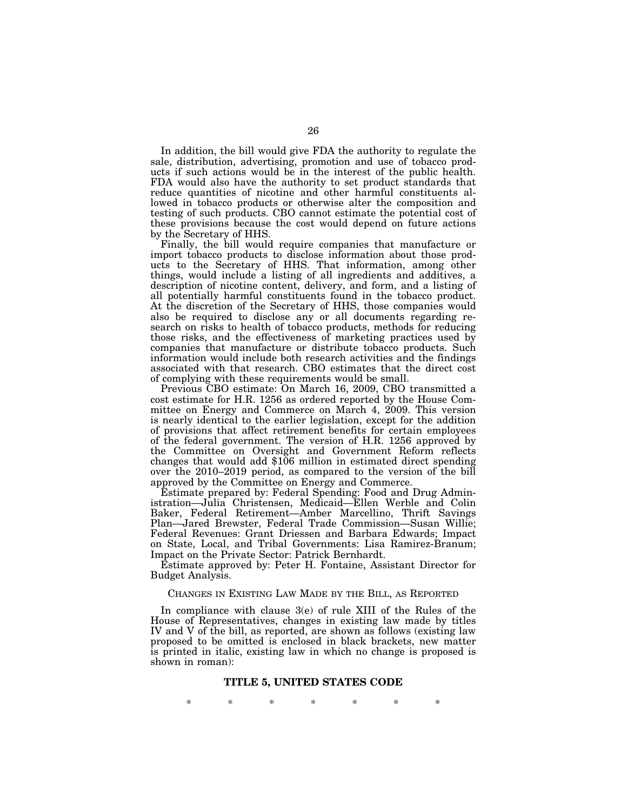In addition, the bill would give FDA the authority to regulate the sale, distribution, advertising, promotion and use of tobacco products if such actions would be in the interest of the public health. FDA would also have the authority to set product standards that reduce quantities of nicotine and other harmful constituents allowed in tobacco products or otherwise alter the composition and testing of such products. CBO cannot estimate the potential cost of these provisions because the cost would depend on future actions by the Secretary of HHS.

Finally, the bill would require companies that manufacture or import tobacco products to disclose information about those products to the Secretary of HHS. That information, among other things, would include a listing of all ingredients and additives, a description of nicotine content, delivery, and form, and a listing of all potentially harmful constituents found in the tobacco product. At the discretion of the Secretary of HHS, those companies would also be required to disclose any or all documents regarding research on risks to health of tobacco products, methods for reducing those risks, and the effectiveness of marketing practices used by companies that manufacture or distribute tobacco products. Such information would include both research activities and the findings associated with that research. CBO estimates that the direct cost of complying with these requirements would be small.

Previous CBO estimate: On March 16, 2009, CBO transmitted a cost estimate for H.R. 1256 as ordered reported by the House Committee on Energy and Commerce on March 4, 2009. This version is nearly identical to the earlier legislation, except for the addition of provisions that affect retirement benefits for certain employees of the federal government. The version of H.R. 1256 approved by the Committee on Oversight and Government Reform reflects changes that would add \$106 million in estimated direct spending over the 2010–2019 period, as compared to the version of the bill approved by the Committee on Energy and Commerce.

Estimate prepared by: Federal Spending: Food and Drug Administration—Julia Christensen, Medicaid—Ellen Werble and Colin Baker, Federal Retirement—Amber Marcellino, Thrift Savings Plan—Jared Brewster, Federal Trade Commission—Susan Willie; Federal Revenues: Grant Driessen and Barbara Edwards; Impact on State, Local, and Tribal Governments: Lisa Ramirez-Branum; Impact on the Private Sector: Patrick Bernhardt.

Estimate approved by: Peter H. Fontaine, Assistant Director for Budget Analysis.

#### CHANGES IN EXISTING LAW MADE BY THE BILL, AS REPORTED

In compliance with clause 3(e) of rule XIII of the Rules of the House of Representatives, changes in existing law made by titles IV and V of the bill, as reported, are shown as follows (existing law proposed to be omitted is enclosed in black brackets, new matter is printed in italic, existing law in which no change is proposed is shown in roman):

#### **TITLE 5, UNITED STATES CODE**

\* \* \* \* \* \* \*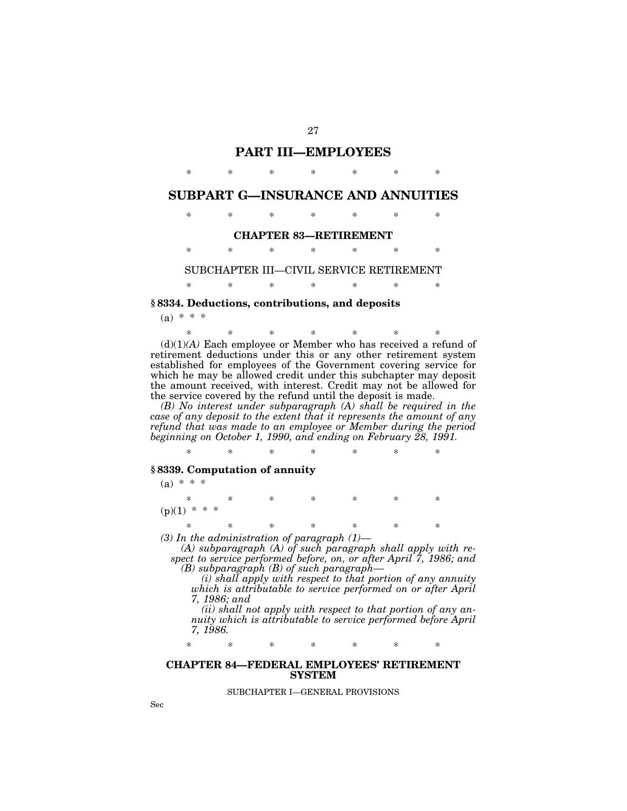# **PART III—EMPLOYEES**

\* \* \* \* \* \* \*

# **SUBPART G—INSURANCE AND ANNUITIES**

# \* \* \* \* \* \* \*

#### **CHAPTER 83—RETIREMENT**

\* \* \* \* \* \* \*

SUBCHAPTER III—CIVIL SERVICE RETIREMENT

# \* \* \* \* \* \* \*

# **§ 8334. Deductions, contributions, and deposits**

 $(a) * * * *$ 

\* \* \* \* \* \* \* (d)(1)*(A)* Each employee or Member who has received a refund of retirement deductions under this or any other retirement system established for employees of the Government covering service for which he may be allowed credit under this subchapter may deposit the amount received, with interest. Credit may not be allowed for the service covered by the refund until the deposit is made.

*(B) No interest under subparagraph (A) shall be required in the case of any deposit to the extent that it represents the amount of any refund that was made to an employee or Member during the period beginning on October 1, 1990, and ending on February 28, 1991.* 

\* \* \* \* \* \* \*

# **§ 8339. Computation of annuity**

 $(a) * * * *$ 

\* \* \* \* \* \* \*  $(p)(1)$  \* \* \* \* \* \* \* \*

*(3) In the administration of paragraph (1)—* 

*(A) subparagraph (A) of such paragraph shall apply with respect to service performed before, on, or after April 7, 1986; and (B) subparagraph (B) of such paragraph—* 

*(i) shall apply with respect to that portion of any annuity which is attributable to service performed on or after April 7, 1986; and* 

*(ii) shall not apply with respect to that portion of any annuity which is attributable to service performed before April 7, 1986.* 

\* \* \* \* \* \* \*

#### **CHAPTER 84—FEDERAL EMPLOYEES' RETIREMENT SYSTEM**

SUBCHAPTER I—GENERAL PROVISIONS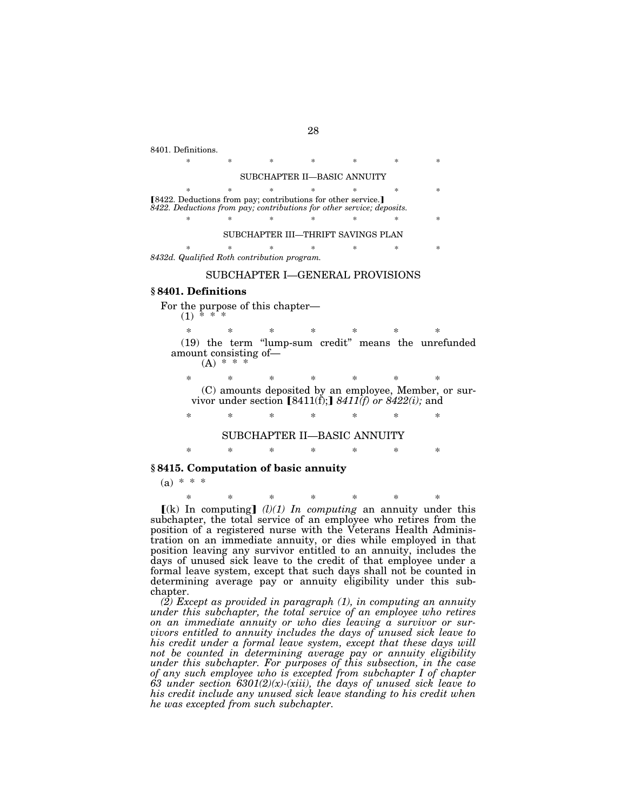8401. Definitions.

\* \* \* \* \* \* \* \* SUBCHAPTER II—BASIC ANNUITY \* \* \* \* \* \* \* \* [8422. Deductions from pay; contributions for other service.] *8422. Deductions from pay; contributions for other service; deposits.*  \* \* \* \* \* \* \* SUBCHAPTER III—THRIFT SAVINGS PLAN

\* \* \* \* \* \* \* *8432d. Qualified Roth contribution program.* 

#### SUBCHAPTER I—GENERAL PROVISIONS

#### **§ 8401. Definitions**

 $(1)$ 

For the purpose of this chapter—

\* \* \* \* \* \* \* (19) the term ''lump-sum credit'' means the unrefunded amount consisting of—

 $(A) * *$ 

\* \* \* \* \* \* \* (C) amounts deposited by an employee, Member, or sur-

vivor under section  $[8411(\hat{f})$ ;  $8411(\hat{f})$  or  $8422(\hat{i})$ ; and

\* \* \* \* \* \* \* SUBCHAPTER II—BASIC ANNUITY

\* \* \* \* \* \* \*

## **§ 8415. Computation of basic annuity**

 $(a) * * * *$ 

\* \* \* \* \* \* \*  $(k)$  In computing]  $(l)(1)$  In computing an annuity under this subchapter, the total service of an employee who retires from the position of a registered nurse with the Veterans Health Administration on an immediate annuity, or dies while employed in that position leaving any survivor entitled to an annuity, includes the days of unused sick leave to the credit of that employee under a formal leave system, except that such days shall not be counted in determining average pay or annuity eligibility under this subchapter.

*(2) Except as provided in paragraph (1), in computing an annuity under this subchapter, the total service of an employee who retires on an immediate annuity or who dies leaving a survivor or survivors entitled to annuity includes the days of unused sick leave to his credit under a formal leave system, except that these days will not be counted in determining average pay or annuity eligibility under this subchapter. For purposes of this subsection, in the case of any such employee who is excepted from subchapter I of chapter 63 under section 6301(2)(x)-(xiii), the days of unused sick leave to his credit include any unused sick leave standing to his credit when he was excepted from such subchapter.*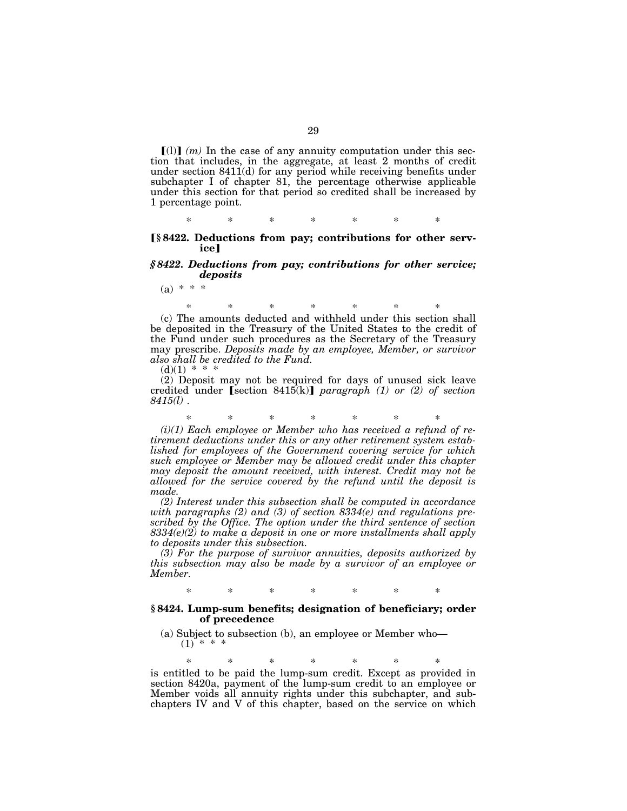$\lceil$ (1)) (*m*) In the case of any annuity computation under this section that includes, in the aggregate, at least 2 months of credit under section 8411(d) for any period while receiving benefits under subchapter I of chapter 81, the percentage otherwise applicable under this section for that period so credited shall be increased by 1 percentage point.

\* \* \* \* \* \* \*

#### ø**§ 8422. Deductions from pay; contributions for other service**

## *§ 8422. Deductions from pay; contributions for other service; deposits*

 $(a) * * *$ 

\* \* \* \* \* \* \* (c) The amounts deducted and withheld under this section shall be deposited in the Treasury of the United States to the credit of the Fund under such procedures as the Secretary of the Treasury may prescribe. *Deposits made by an employee, Member, or survivor also shall be credited to the Fund.* 

 $(d)(1) * *$ 

(2) Deposit may not be required for days of unused sick leave credited under **[section 8415(k)**] *paragraph* (1) or (2) of section *8415(l)* .

\* \* \* \* \* \* \*

*(i)(1) Each employee or Member who has received a refund of retirement deductions under this or any other retirement system established for employees of the Government covering service for which such employee or Member may be allowed credit under this chapter may deposit the amount received, with interest. Credit may not be allowed for the service covered by the refund until the deposit is made.* 

*(2) Interest under this subsection shall be computed in accordance with paragraphs (2) and (3) of section 8334(e) and regulations prescribed by the Office. The option under the third sentence of section 8334(e)(2) to make a deposit in one or more installments shall apply to deposits under this subsection.* 

*(3) For the purpose of survivor annuities, deposits authorized by this subsection may also be made by a survivor of an employee or Member.* 

\* \* \* \* \* \* \*

#### **§ 8424. Lump-sum benefits; designation of beneficiary; order of precedence**

(a) Subject to subsection (b), an employee or Member who—  $(1)$  \* \*

\* \* \* \* \* \* \* is entitled to be paid the lump-sum credit. Except as provided in section 8420a, payment of the lump-sum credit to an employee or Member voids all annuity rights under this subchapter, and subchapters IV and V of this chapter, based on the service on which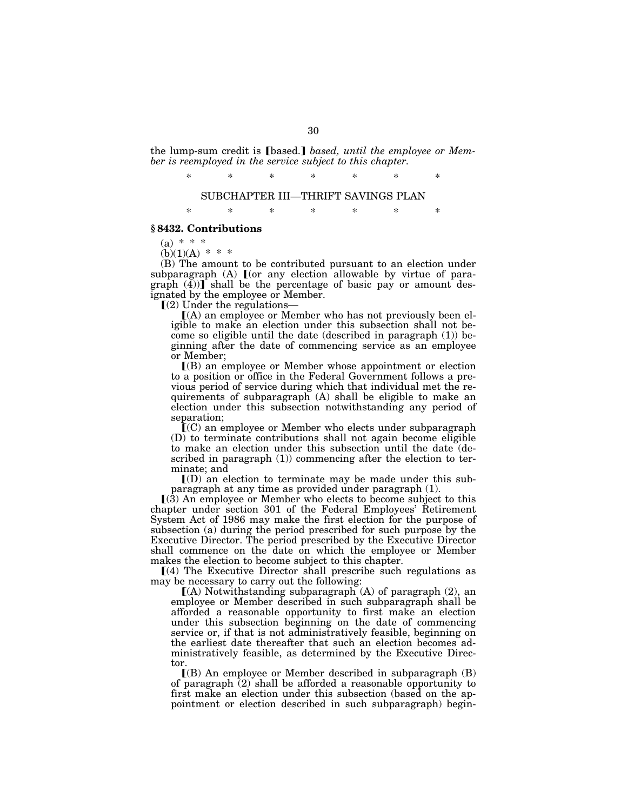the lump-sum credit is **[based.]** based, until the employee or Mem*ber is reemployed in the service subject to this chapter.* 

> \* \* \* \* \* \* \* SUBCHAPTER III—THRIFT SAVINGS PLAN

> \* \* \* \* \* \* \*

#### **§ 8432. Contributions**

 $(a) * * *$ 

 $(b)(1)(A) * * *$ 

(B) The amount to be contributed pursuant to an election under subparagraph  $(A)$   $[$  (or any election allowable by virtue of para $graph (4)$  shall be the percentage of basic pay or amount designated by the employee or Member.

 $(2)$  Under the regulations-

ø(A) an employee or Member who has not previously been eligible to make an election under this subsection shall not become so eligible until the date (described in paragraph (1)) beginning after the date of commencing service as an employee or Member;

 $($ B) an employee or Member whose appointment or election to a position or office in the Federal Government follows a previous period of service during which that individual met the requirements of subparagraph (A) shall be eligible to make an election under this subsection notwithstanding any period of separation;

 $\tilde{I}(C)$  an employee or Member who elects under subparagraph (D) to terminate contributions shall not again become eligible to make an election under this subsection until the date (described in paragraph (1)) commencing after the election to terminate; and

 $I(D)$  an election to terminate may be made under this subparagraph at any time as provided under paragraph (1).

 $(3)$  An employee or Member who elects to become subject to this chapter under section 301 of the Federal Employees' Retirement System Act of 1986 may make the first election for the purpose of subsection (a) during the period prescribed for such purpose by the Executive Director. The period prescribed by the Executive Director shall commence on the date on which the employee or Member makes the election to become subject to this chapter.

 $(a)$  The Executive Director shall prescribe such regulations as may be necessary to carry out the following:

 $(A)$  Notwithstanding subparagraph  $(A)$  of paragraph  $(2)$ , an employee or Member described in such subparagraph shall be afforded a reasonable opportunity to first make an election under this subsection beginning on the date of commencing service or, if that is not administratively feasible, beginning on the earliest date thereafter that such an election becomes administratively feasible, as determined by the Executive Director.

 $\Gamma(B)$  An employee or Member described in subparagraph (B) of paragraph  $(2)$  shall be afforded a reasonable opportunity to first make an election under this subsection (based on the appointment or election described in such subparagraph) begin-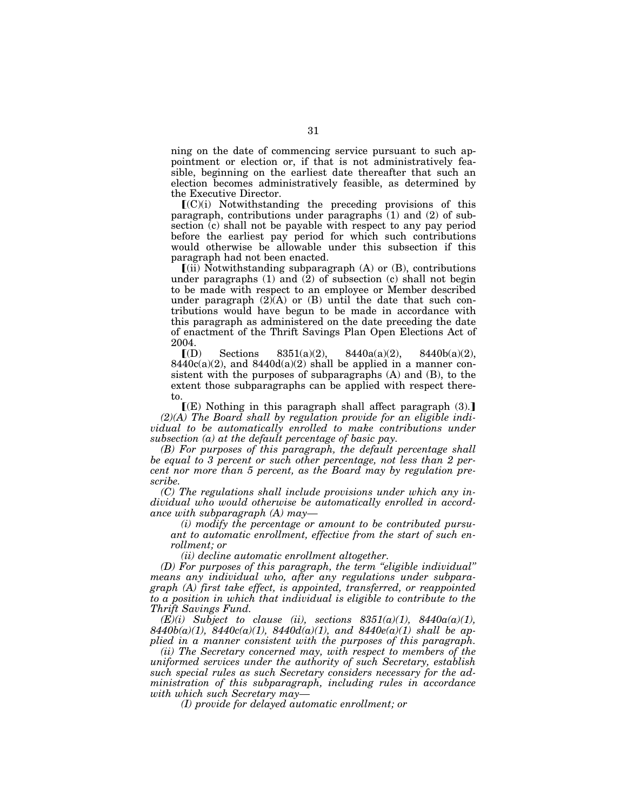ning on the date of commencing service pursuant to such appointment or election or, if that is not administratively feasible, beginning on the earliest date thereafter that such an election becomes administratively feasible, as determined by the Executive Director.

 $(C)(i)$  Notwithstanding the preceding provisions of this paragraph, contributions under paragraphs (1) and (2) of subsection (c) shall not be payable with respect to any pay period before the earliest pay period for which such contributions would otherwise be allowable under this subsection if this paragraph had not been enacted.

 $\left[$ (ii) Notwithstanding subparagraph (A) or (B), contributions under paragraphs (1) and (2) of subsection (c) shall not begin to be made with respect to an employee or Member described under paragraph  $(2)$  $(A)$  or  $(B)$  until the date that such contributions would have begun to be made in accordance with this paragraph as administered on the date preceding the date of enactment of the Thrift Savings Plan Open Elections Act of 2004.

 $\llbracket (D) \quad \text{Sections} \quad 8351(a)(2), \quad 8440a(a)(2), \quad 8440b(a)(2),$  $8440c(a)(2)$ , and  $8440d(a)(2)$  shall be applied in a manner consistent with the purposes of subparagraphs (A) and (B), to the extent those subparagraphs can be applied with respect thereto.

 $\mathcal{F}(E)$  Nothing in this paragraph shall affect paragraph (3). *(2)(A) The Board shall by regulation provide for an eligible indi*vidual to be automatically enrolled to make contributions under *subsection (a) at the default percentage of basic pay.* 

*(B) For purposes of this paragraph, the default percentage shall be equal to 3 percent or such other percentage, not less than 2 percent nor more than 5 percent, as the Board may by regulation prescribe.* 

*(C) The regulations shall include provisions under which any individual who would otherwise be automatically enrolled in accordance with subparagraph (A) may—* 

*(i) modify the percentage or amount to be contributed pursuant to automatic enrollment, effective from the start of such enrollment; or* 

*(ii) decline automatic enrollment altogether.* 

*(D) For purposes of this paragraph, the term ''eligible individual'' means any individual who, after any regulations under subparagraph (A) first take effect, is appointed, transferred, or reappointed to a position in which that individual is eligible to contribute to the Thrift Savings Fund.* 

 $(E)(i)$  Subject to clause (ii), sections  $8351(a)(1)$ ,  $8440a(a)(1)$ , *8440b(a)(1), 8440c(a)(1), 8440d(a)(1), and 8440e(a)(1) shall be applied in a manner consistent with the purposes of this paragraph.* 

*(ii) The Secretary concerned may, with respect to members of the uniformed services under the authority of such Secretary, establish such special rules as such Secretary considers necessary for the administration of this subparagraph, including rules in accordance with which such Secretary may—* 

*(I) provide for delayed automatic enrollment; or*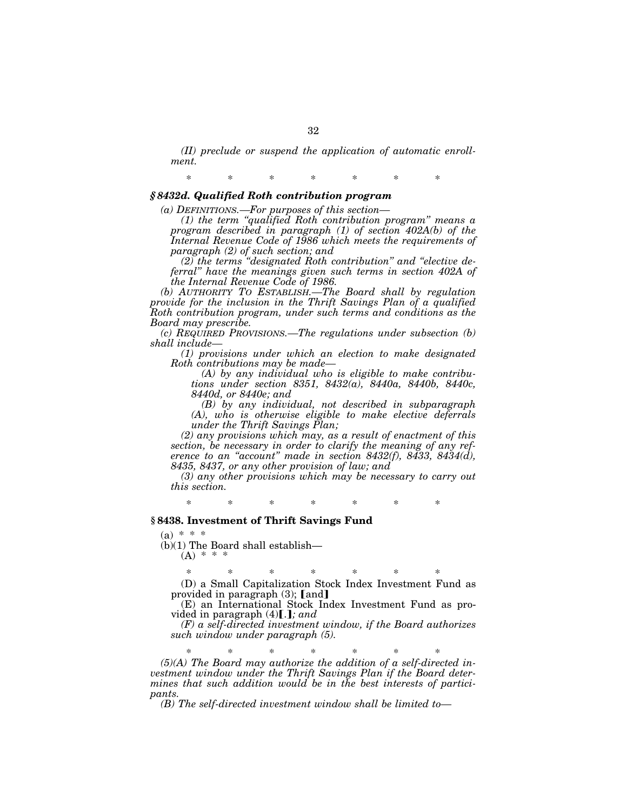*(II) preclude or suspend the application of automatic enrollment.* 

\* \* \* \* \* \* \*

## *§ 8432d. Qualified Roth contribution program*

*(a) DEFINITIONS.—For purposes of this section—* 

*(1) the term ''qualified Roth contribution program'' means a program described in paragraph (1) of section 402A(b) of the Internal Revenue Code of 1986 which meets the requirements of paragraph (2) of such section; and* 

*(2) the terms ''designated Roth contribution'' and ''elective deferral'' have the meanings given such terms in section 402A of the Internal Revenue Code of 1986.* 

*(b) AUTHORITY TO ESTABLISH.—The Board shall by regulation provide for the inclusion in the Thrift Savings Plan of a qualified Roth contribution program, under such terms and conditions as the Board may prescribe.* 

*(c) REQUIRED PROVISIONS.—The regulations under subsection (b) shall include—* 

*(1) provisions under which an election to make designated Roth contributions may be made—* 

*(A) by any individual who is eligible to make contributions under section 8351, 8432(a), 8440a, 8440b, 8440c, 8440d, or 8440e; and* 

*(B) by any individual, not described in subparagraph (A), who is otherwise eligible to make elective deferrals under the Thrift Savings Plan;* 

*(2) any provisions which may, as a result of enactment of this section, be necessary in order to clarify the meaning of any reference to an ''account'' made in section 8432(f), 8433, 8434(d), 8435, 8437, or any other provision of law; and* 

*(3) any other provisions which may be necessary to carry out this section.* 

\* \* \* \* \* \* \*

#### **§ 8438. Investment of Thrift Savings Fund**

 $(a) * * * *$ 

 $(b)(1)$  The Board shall establish—

 $(A)$  \*

\* \* \* \* \* \* \* (D) a Small Capitalization Stock Index Investment Fund as provided in paragraph  $(3)$ ; [and]

(E) an International Stock Index Investment Fund as provided in paragraph  $(4)$ [.]; and

*(F) a self-directed investment window, if the Board authorizes such window under paragraph (5).* 

\* \* \* \* \* \* \*

*(5)(A) The Board may authorize the addition of a self-directed investment window under the Thrift Savings Plan if the Board determines that such addition would be in the best interests of participants.* 

*(B) The self-directed investment window shall be limited to—*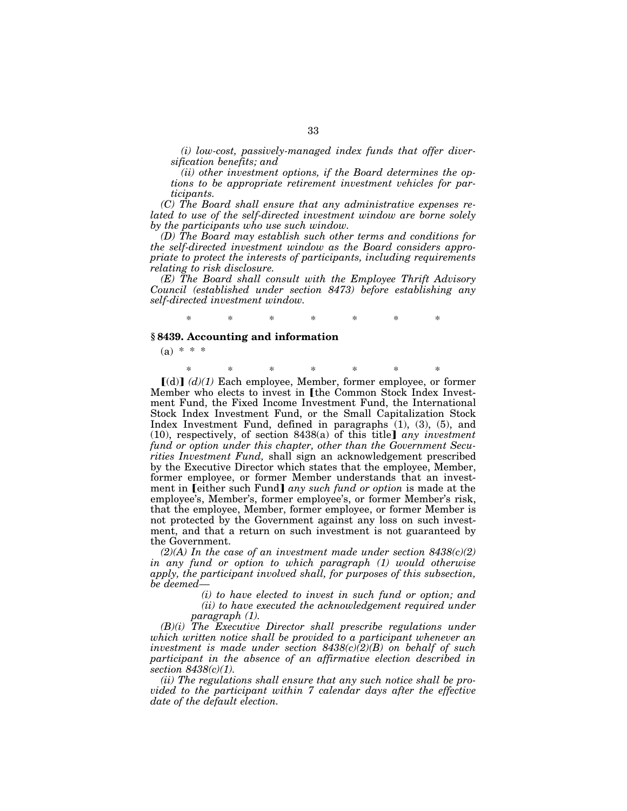*(i) low-cost, passively-managed index funds that offer diversification benefits; and* 

*(ii) other investment options, if the Board determines the options to be appropriate retirement investment vehicles for participants.* 

*(C) The Board shall ensure that any administrative expenses related to use of the self-directed investment window are borne solely by the participants who use such window.* 

*(D) The Board may establish such other terms and conditions for the self-directed investment window as the Board considers appropriate to protect the interests of participants, including requirements relating to risk disclosure.* 

*(E) The Board shall consult with the Employee Thrift Advisory Council (established under section 8473) before establishing any self-directed investment window.* 

# \* \* \* \* \* \* \*

# **§ 8439. Accounting and information**

 $(a) * * *$ 

\* \* \* \* \* \* \* ø(d)¿ *(d)(1)* Each employee, Member, former employee, or former Member who elects to invest in [the Common Stock Index Investment Fund, the Fixed Income Investment Fund, the International Stock Index Investment Fund, or the Small Capitalization Stock Index Investment Fund, defined in paragraphs (1), (3), (5), and  $(10)$ , respectively, of section 8438 $(a)$  of this title<sup>d</sup> *any investment fund or option under this chapter, other than the Government Securities Investment Fund,* shall sign an acknowledgement prescribed by the Executive Director which states that the employee, Member, former employee, or former Member understands that an investment in **Leither such Fund** any such fund or option is made at the employee's, Member's, former employee's, or former Member's risk, that the employee, Member, former employee, or former Member is not protected by the Government against any loss on such investment, and that a return on such investment is not guaranteed by the Government.

*(2)(A) In the case of an investment made under section 8438(c)(2) in any fund or option to which paragraph (1) would otherwise apply, the participant involved shall, for purposes of this subsection, be deemed—* 

> *(i) to have elected to invest in such fund or option; and (ii) to have executed the acknowledgement required under paragraph (1).*

*(B)(i) The Executive Director shall prescribe regulations under which written notice shall be provided to a participant whenever an investment is made under section 8438(c)(2)(B) on behalf of such participant in the absence of an affirmative election described in section 8438(c)(1).* 

*(ii) The regulations shall ensure that any such notice shall be provided to the participant within 7 calendar days after the effective date of the default election.*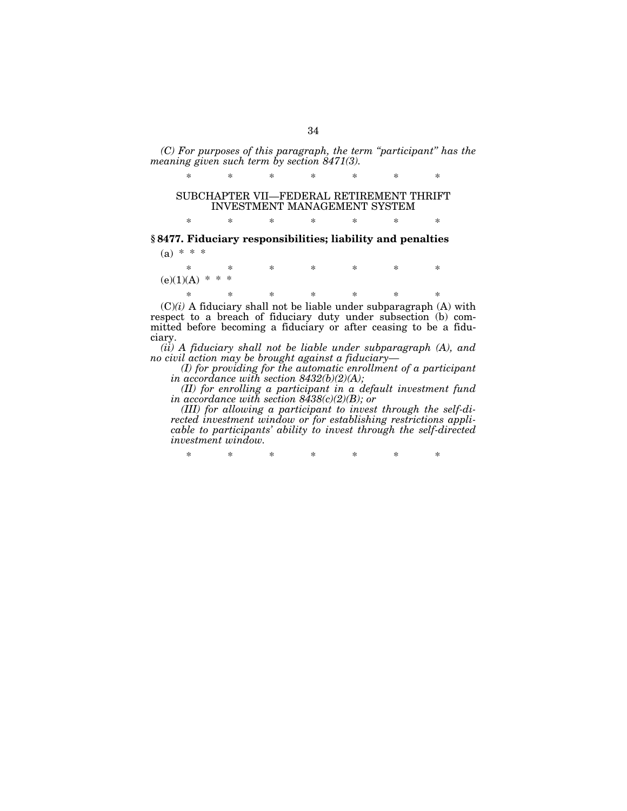*(C) For purposes of this paragraph, the term ''participant'' has the meaning given such term by section 8471(3).* 

\* \* \* \* \* \* \*

# SUBCHAPTER VII—FEDERAL RETIREMENT THRIFT INVESTMENT MANAGEMENT SYSTEM

\* \* \* \* \* \* \*

# **§ 8477. Fiduciary responsibilities; liability and penalties**   $(a) * * * *$

\* \* \* \* \* \* \*  $(e)(1)(A)$  \* \* \*

\* \* \* \* \* \* \*  $(C)(i)$  A fiduciary shall not be liable under subparagraph  $(A)$  with respect to a breach of fiduciary duty under subsection (b) committed before becoming a fiduciary or after ceasing to be a fiduciary.

*(ii) A fiduciary shall not be liable under subparagraph (A), and no civil action may be brought against a fiduciary—* 

*(I) for providing for the automatic enrollment of a participant in accordance with section 8432(b)(2)(A);* 

*(II) for enrolling a participant in a default investment fund in accordance with section 8438(c)(2)(B); or* 

*(III) for allowing a participant to invest through the self-directed investment window or for establishing restrictions applicable to participants' ability to invest through the self-directed investment window.* 

\* \* \* \* \* \* \*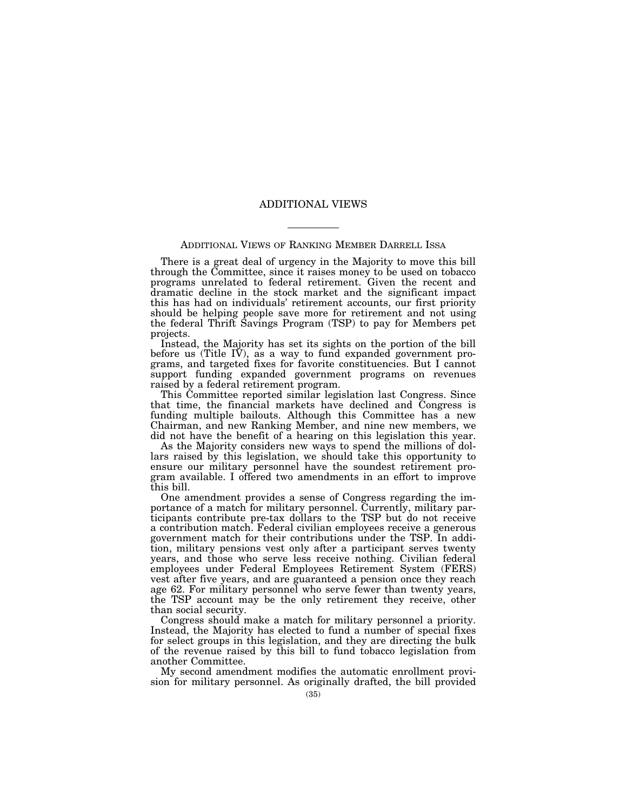#### ADDITIONAL VIEWS

#### ADDITIONAL VIEWS OF RANKING MEMBER DARRELL ISSA

There is a great deal of urgency in the Majority to move this bill through the Committee, since it raises money to be used on tobacco programs unrelated to federal retirement. Given the recent and dramatic decline in the stock market and the significant impact this has had on individuals' retirement accounts, our first priority should be helping people save more for retirement and not using the federal Thrift Savings Program (TSP) to pay for Members pet projects.

Instead, the Majority has set its sights on the portion of the bill before us (Title IV), as a way to fund expanded government programs, and targeted fixes for favorite constituencies. But I cannot support funding expanded government programs on revenues raised by a federal retirement program.

This Committee reported similar legislation last Congress. Since that time, the financial markets have declined and Congress is funding multiple bailouts. Although this Committee has a new Chairman, and new Ranking Member, and nine new members, we did not have the benefit of a hearing on this legislation this year.

As the Majority considers new ways to spend the millions of dollars raised by this legislation, we should take this opportunity to ensure our military personnel have the soundest retirement program available. I offered two amendments in an effort to improve this bill.

One amendment provides a sense of Congress regarding the importance of a match for military personnel. Currently, military participants contribute pre-tax dollars to the TSP but do not receive a contribution match. Federal civilian employees receive a generous government match for their contributions under the TSP. In addition, military pensions vest only after a participant serves twenty years, and those who serve less receive nothing. Civilian federal employees under Federal Employees Retirement System (FERS) vest after five years, and are guaranteed a pension once they reach age 62. For military personnel who serve fewer than twenty years, the TSP account may be the only retirement they receive, other than social security.

Congress should make a match for military personnel a priority. Instead, the Majority has elected to fund a number of special fixes for select groups in this legislation, and they are directing the bulk of the revenue raised by this bill to fund tobacco legislation from another Committee.

My second amendment modifies the automatic enrollment provision for military personnel. As originally drafted, the bill provided